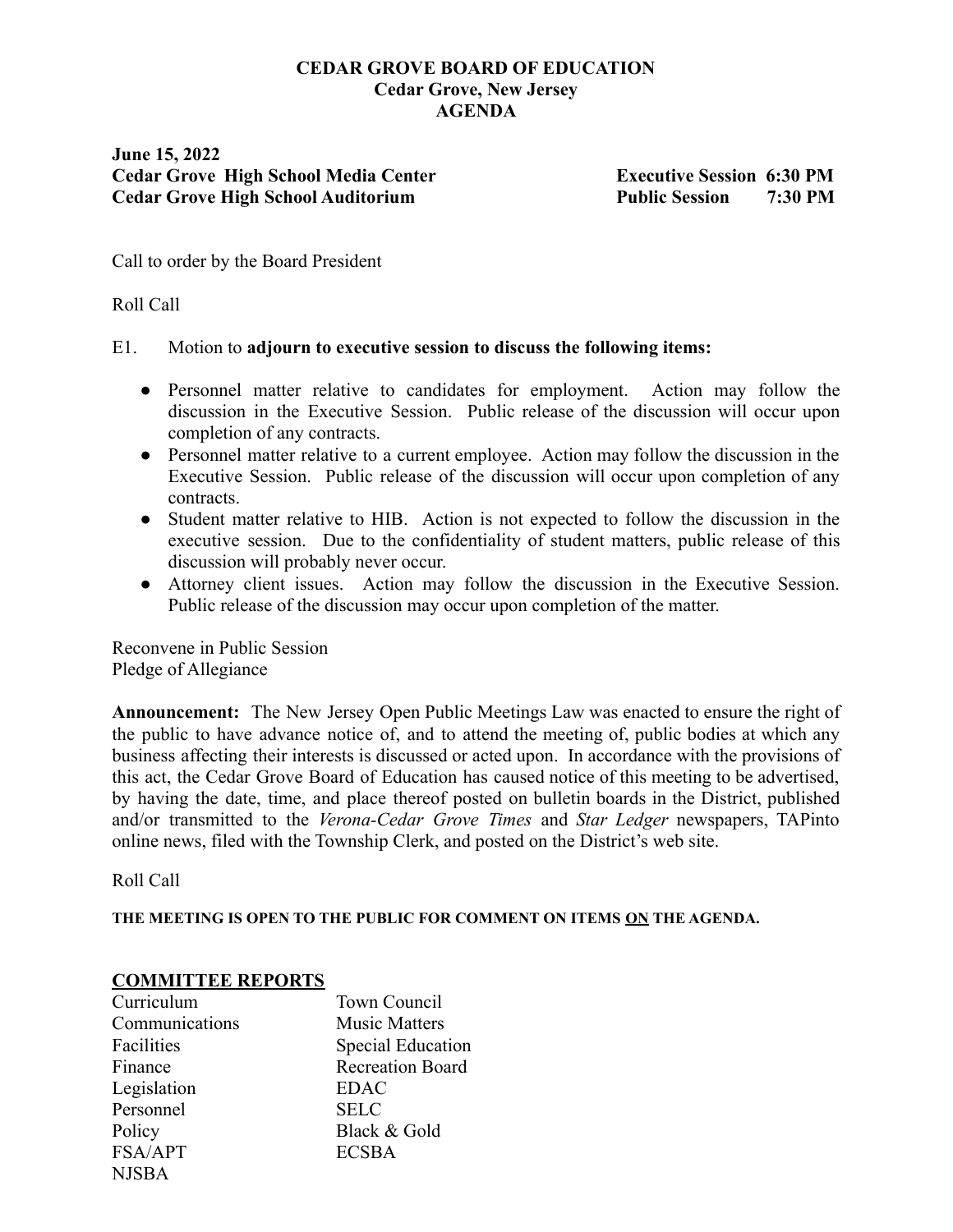# **CEDAR GROVE BOARD OF EDUCATION Cedar Grove, New Jersey AGENDA**

**June 15, 2022 Cedar Grove High School Media Center Executive Session 6:30 PM Cedar Grove High School Auditorium Public Session 7:30 PM**

Call to order by the Board President

# Roll Call

## E1. Motion to **adjourn to executive session to discuss the following items:**

- Personnel matter relative to candidates for employment. Action may follow the discussion in the Executive Session. Public release of the discussion will occur upon completion of any contracts.
- Personnel matter relative to a current employee. Action may follow the discussion in the Executive Session. Public release of the discussion will occur upon completion of any contracts.
- Student matter relative to HIB. Action is not expected to follow the discussion in the executive session. Due to the confidentiality of student matters, public release of this discussion will probably never occur.
- Attorney client issues. Action may follow the discussion in the Executive Session. Public release of the discussion may occur upon completion of the matter.

Reconvene in Public Session Pledge of Allegiance

**Announcement:** The New Jersey Open Public Meetings Law was enacted to ensure the right of the public to have advance notice of, and to attend the meeting of, public bodies at which any business affecting their interests is discussed or acted upon. In accordance with the provisions of this act, the Cedar Grove Board of Education has caused notice of this meeting to be advertised, by having the date, time, and place thereof posted on bulletin boards in the District, published and/or transmitted to the *Verona-Cedar Grove Times* and *Star Ledger* newspapers, TAPinto online news, filed with the Township Clerk, and posted on the District's web site.

Roll Call

**THE MEETING IS OPEN TO THE PUBLIC FOR COMMENT ON ITEMS ON THE AGENDA.**

## **COMMITTEE REPORTS**

| Curriculum     | Town Council            |
|----------------|-------------------------|
| Communications | <b>Music Matters</b>    |
| Facilities     | Special Education       |
| Finance        | <b>Recreation Board</b> |
| Legislation    | <b>EDAC</b>             |
| Personnel      | <b>SELC</b>             |
| Policy         | Black & Gold            |
| FSA/APT        | <b>ECSBA</b>            |
| <b>NJSBA</b>   |                         |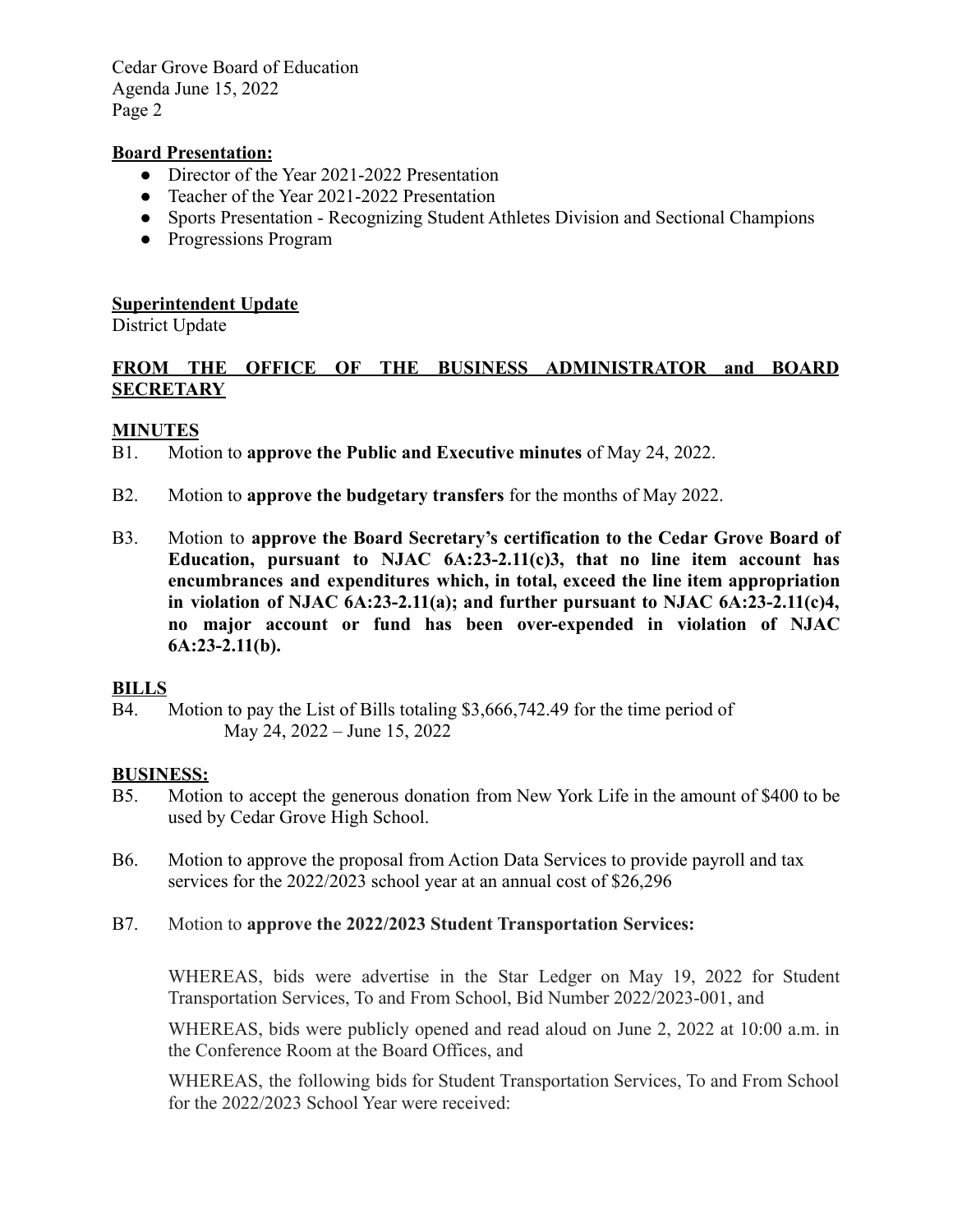## **Board Presentation:**

- Director of the Year 2021-2022 Presentation
- Teacher of the Year 2021-2022 Presentation
- Sports Presentation Recognizing Student Athletes Division and Sectional Champions
- Progressions Program

## **Superintendent Update**

District Update

# **FROM THE OFFICE OF THE BUSINESS ADMINISTRATOR and BOARD SECRETARY**

### **MINUTES**

B1. Motion to **approve the Public and Executive minutes** of May 24, 2022.

- B2. Motion to **approve the budgetary transfers** for the months of May 2022.
- B3. Motion to **approve the Board Secretary's certification to the Cedar Grove Board of Education, pursuant to NJAC 6A:23-2.11(c)3, that no line item account has encumbrances and expenditures which, in total, exceed the line item appropriation in violation of NJAC 6A:23-2.11(a); and further pursuant to NJAC 6A:23-2.11(c)4, no major account or fund has been over-expended in violation of NJAC 6A:23-2.11(b).**

#### **BILLS**

B4. Motion to pay the List of Bills totaling \$3,666,742.49 for the time period of May 24, 2022 – June 15, 2022

#### **BUSINESS:**

- B5. Motion to accept the generous donation from New York Life in the amount of \$400 to be used by Cedar Grove High School.
- B6. Motion to approve the proposal from Action Data Services to provide payroll and tax services for the 2022/2023 school year at an annual cost of \$26,296

### B7. Motion to **approve the 2022/2023 Student Transportation Services:**

WHEREAS, bids were advertise in the Star Ledger on May 19, 2022 for Student Transportation Services, To and From School, Bid Number 2022/2023-001, and

WHEREAS, bids were publicly opened and read aloud on June 2, 2022 at 10:00 a.m. in the Conference Room at the Board Offices, and

WHEREAS, the following bids for Student Transportation Services, To and From School for the 2022/2023 School Year were received: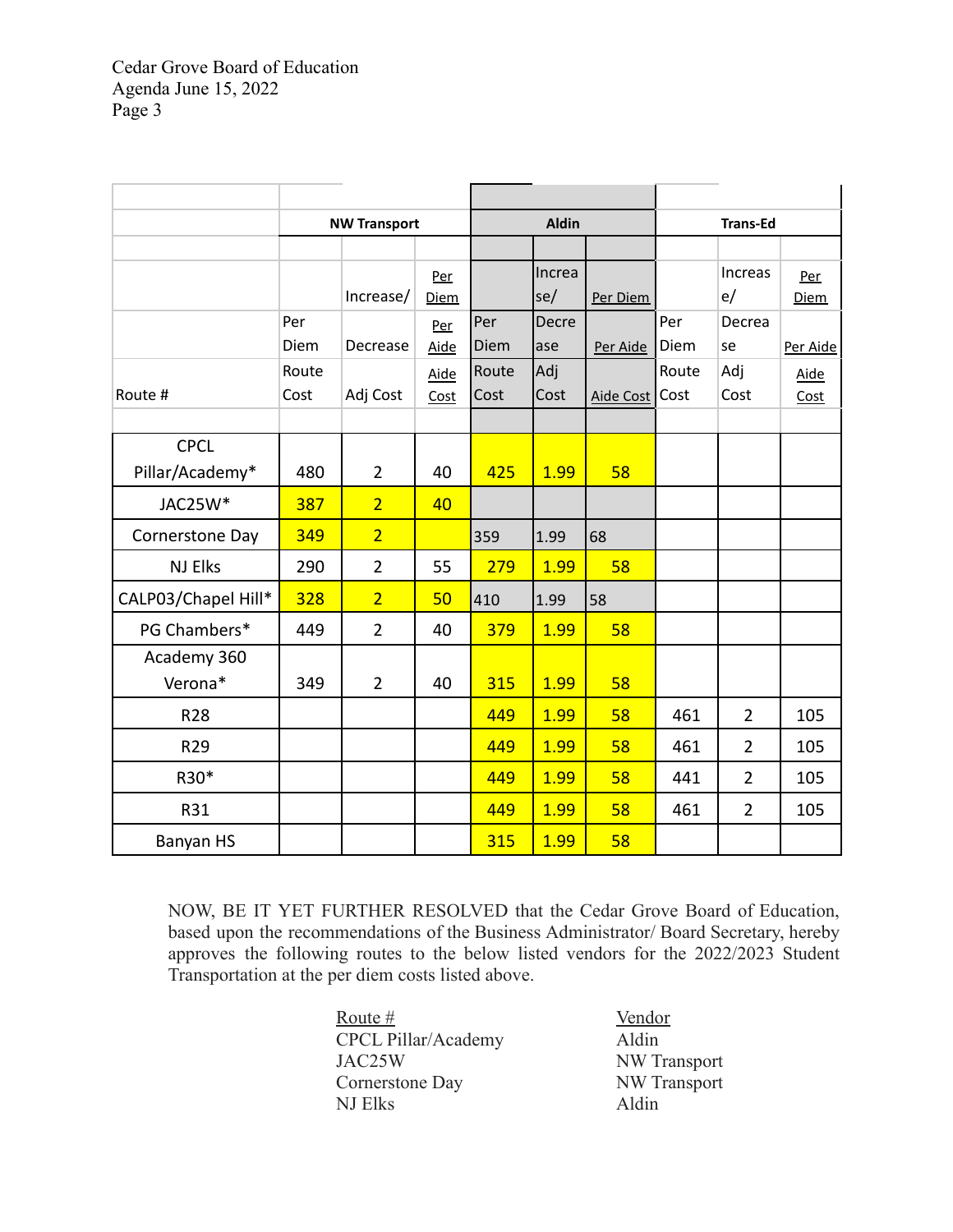|                     |       | <b>NW Transport</b> |             | <b>Aldin</b> |        | <b>Trans-Ed</b>  |       |                |             |
|---------------------|-------|---------------------|-------------|--------------|--------|------------------|-------|----------------|-------------|
|                     |       |                     |             |              |        |                  |       |                |             |
|                     |       |                     | Per         |              | Increa |                  |       | Increas        | Per         |
|                     |       | Increase/           | <b>Diem</b> |              | se     | Per Diem         |       | e/             | <b>Diem</b> |
|                     | Per   |                     | Per         | Per          | Decre  |                  | Per   | Decrea         |             |
|                     | Diem  | Decrease            | Aide        | Diem         | ase    | Per Aide         | Diem  | se             | Per Aide    |
|                     | Route |                     | Aide        | Route        | Adj    |                  | Route | Adj            | Aide        |
| Route #             | Cost  | Adj Cost            | Cost        | Cost         | Cost   | <b>Aide Cost</b> | Cost  | Cost           | Cost        |
|                     |       |                     |             |              |        |                  |       |                |             |
| <b>CPCL</b>         |       |                     |             |              |        |                  |       |                |             |
| Pillar/Academy*     | 480   | $\overline{2}$      | 40          | 425          | 1.99   | 58               |       |                |             |
| JAC25W*             | 387   | $\overline{2}$      | 40          |              |        |                  |       |                |             |
| Cornerstone Day     | 349   | $\overline{2}$      |             | 359          | 1.99   | 68               |       |                |             |
| <b>NJ Elks</b>      | 290   | $\overline{2}$      | 55          | 279          | 1.99   | 58               |       |                |             |
| CALP03/Chapel Hill* | 328   | $\overline{2}$      | 50          | 410          | 1.99   | 58               |       |                |             |
| PG Chambers*        | 449   | $\overline{2}$      | 40          | 379          | 1.99   | 58               |       |                |             |
| Academy 360         |       |                     |             |              |        |                  |       |                |             |
| Verona*             | 349   | $\overline{2}$      | 40          | 315          | 1.99   | 58               |       |                |             |
| <b>R28</b>          |       |                     |             | 449          | 1.99   | 58               | 461   | $\overline{2}$ | 105         |
| R29                 |       |                     |             | 449          | 1.99   | 58               | 461   | $\overline{2}$ | 105         |
| R30*                |       |                     |             | 449          | 1.99   | 58               | 441   | $\overline{2}$ | 105         |
| R31                 |       |                     |             | 449          | 1.99   | 58               | 461   | $\overline{2}$ | 105         |
| Banyan HS           |       |                     |             | 315          | 1.99   | 58               |       |                |             |

NOW, BE IT YET FURTHER RESOLVED that the Cedar Grove Board of Education, based upon the recommendations of the Business Administrator/ Board Secretary, hereby approves the following routes to the below listed vendors for the 2022/2023 Student Transportation at the per diem costs listed above.

> Route # Vendor CPCL Pillar/Academy Aldin JAC25W NW Transport Cornerstone Day NW Transport NJ Elks Aldin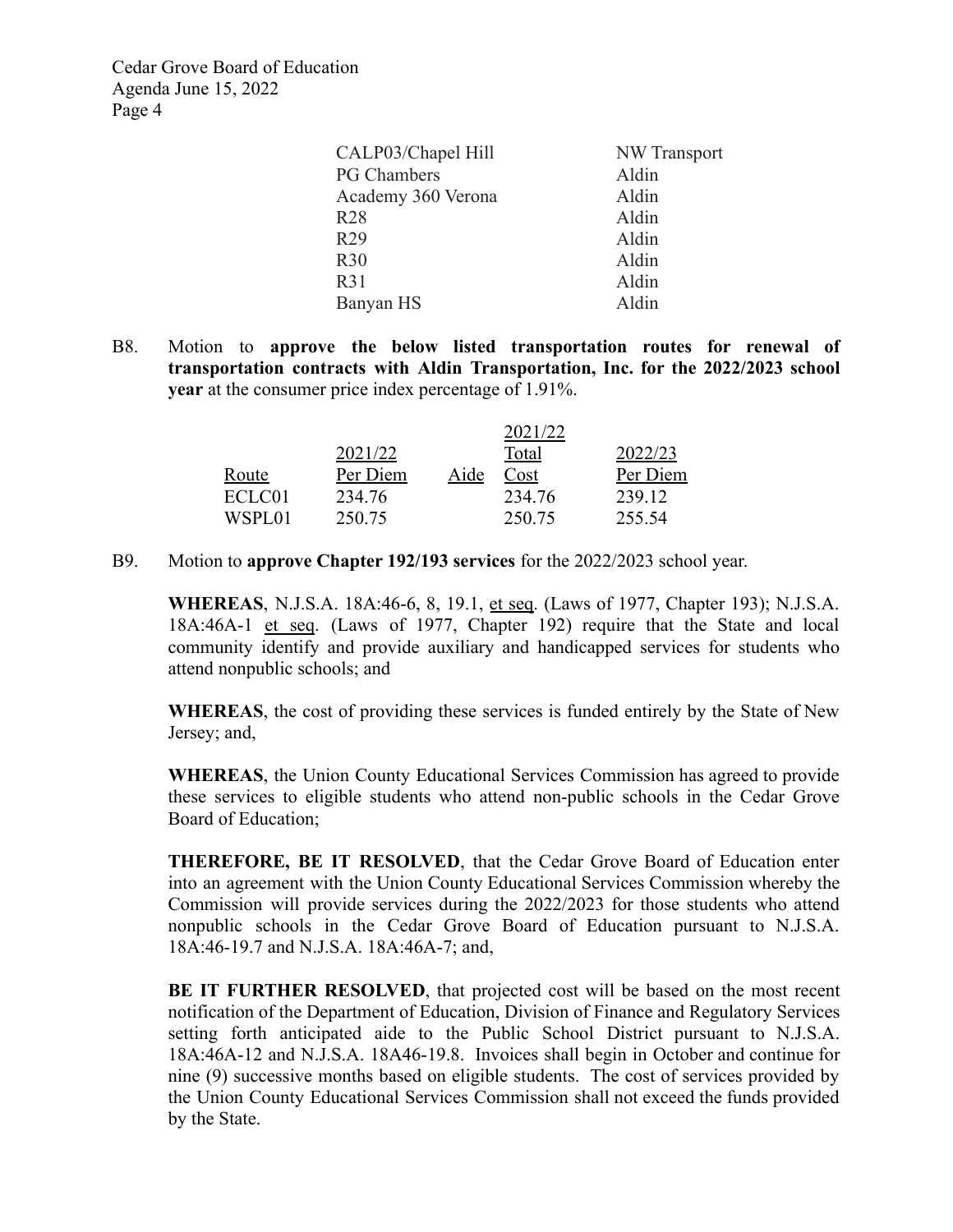| CALP03/Chapel Hill | NW Transport |
|--------------------|--------------|
| <b>PG Chambers</b> | Aldin        |
| Academy 360 Verona | Aldin        |
| R28                | Aldin        |
| R <sub>29</sub>    | Aldin        |
| R30                | Aldin        |
| R31                | Aldin        |
| Banyan HS          | Aldin        |

B8. Motion to **approve the below listed transportation routes for renewal of transportation contracts with Aldin Transportation, Inc. for the 2022/2023 school year** at the consumer price index percentage of 1.91%.

|              |          |      | 2021/22 |          |
|--------------|----------|------|---------|----------|
|              | 2021/22  |      | Total   | 2022/23  |
| <u>Route</u> | Per Diem | Aide | Cost    | Per Diem |
| ECLC01       | 234 76   |      | 234.76  | 239 12   |
| WSPL01       | 250.75   |      | 250.75  | 255.54   |

B9. Motion to **approve Chapter 192/193 services** for the 2022/2023 school year.

**WHEREAS**, N.J.S.A. 18A:46-6, 8, 19.1, et seq. (Laws of 1977, Chapter 193); N.J.S.A. 18A:46A-1 et seq. (Laws of 1977, Chapter 192) require that the State and local community identify and provide auxiliary and handicapped services for students who attend nonpublic schools; and

**WHEREAS**, the cost of providing these services is funded entirely by the State of New Jersey; and,

**WHEREAS**, the Union County Educational Services Commission has agreed to provide these services to eligible students who attend non-public schools in the Cedar Grove Board of Education;

**THEREFORE, BE IT RESOLVED**, that the Cedar Grove Board of Education enter into an agreement with the Union County Educational Services Commission whereby the Commission will provide services during the 2022/2023 for those students who attend nonpublic schools in the Cedar Grove Board of Education pursuant to N.J.S.A. 18A:46-19.7 and N.J.S.A. 18A:46A-7; and,

**BE IT FURTHER RESOLVED**, that projected cost will be based on the most recent notification of the Department of Education, Division of Finance and Regulatory Services setting forth anticipated aide to the Public School District pursuant to N.J.S.A. 18A:46A-12 and N.J.S.A. 18A46-19.8. Invoices shall begin in October and continue for nine (9) successive months based on eligible students. The cost of services provided by the Union County Educational Services Commission shall not exceed the funds provided by the State.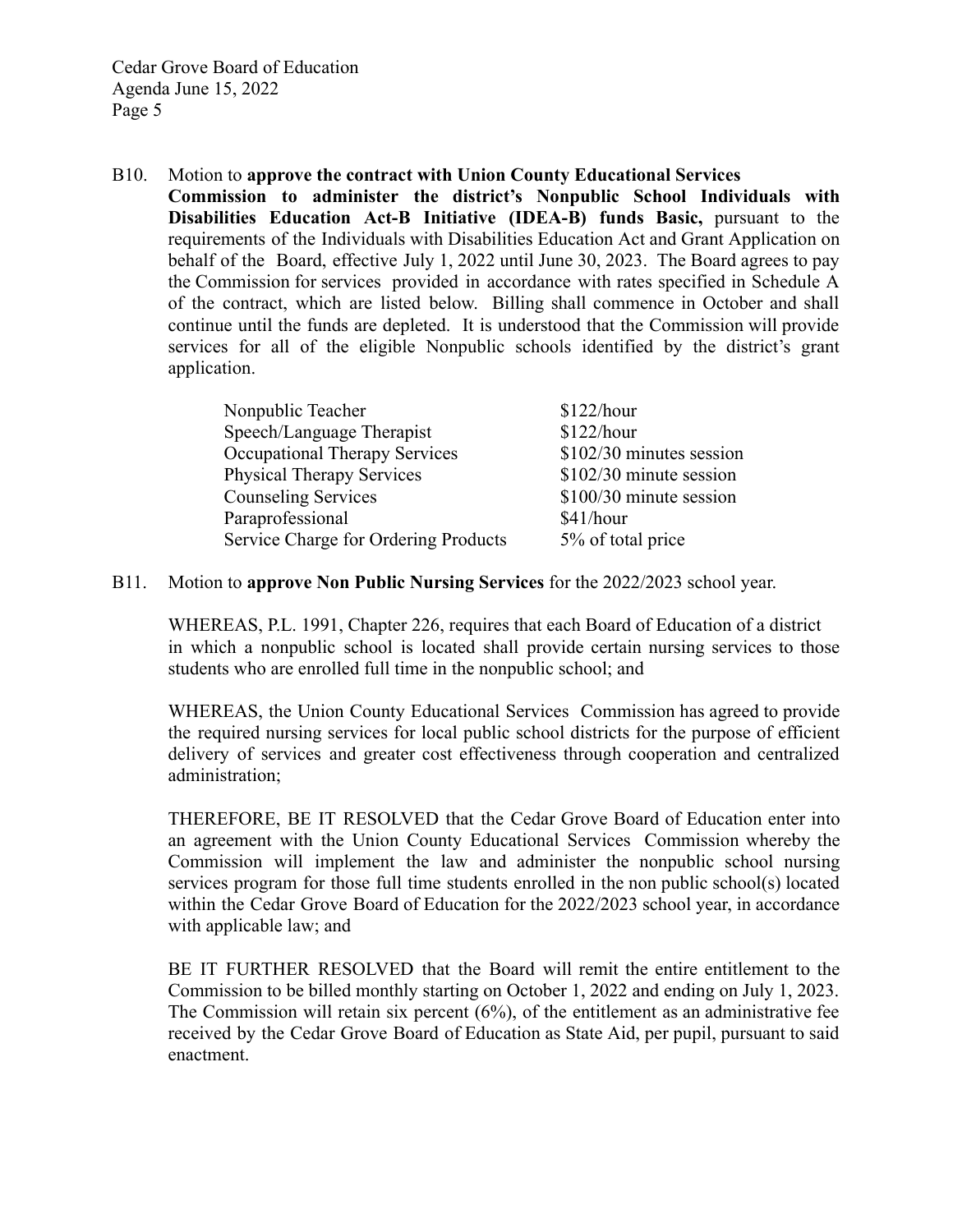B10. Motion to **approve the contract with Union County Educational Services Commission to administer the district's Nonpublic School Individuals with Disabilities Education Act-B Initiative (IDEA-B) funds Basic,** pursuant to the requirements of the Individuals with Disabilities Education Act and Grant Application on behalf of the Board, effective July 1, 2022 until June 30, 2023. The Board agrees to pay the Commission for services provided in accordance with rates specified in Schedule A of the contract, which are listed below. Billing shall commence in October and shall continue until the funds are depleted. It is understood that the Commission will provide services for all of the eligible Nonpublic schools identified by the district's grant application.

| \$122/hour               |
|--------------------------|
| \$122/hour               |
| \$102/30 minutes session |
| \$102/30 minute session  |
| \$100/30 minute session  |
| \$41/hour                |
| 5% of total price        |
|                          |

#### B11. Motion to **approve Non Public Nursing Services** for the 2022/2023 school year.

WHEREAS, P.L. 1991, Chapter 226, requires that each Board of Education of a district in which a nonpublic school is located shall provide certain nursing services to those students who are enrolled full time in the nonpublic school; and

WHEREAS, the Union County Educational Services Commission has agreed to provide the required nursing services for local public school districts for the purpose of efficient delivery of services and greater cost effectiveness through cooperation and centralized administration;

THEREFORE, BE IT RESOLVED that the Cedar Grove Board of Education enter into an agreement with the Union County Educational Services Commission whereby the Commission will implement the law and administer the nonpublic school nursing services program for those full time students enrolled in the non public school(s) located within the Cedar Grove Board of Education for the 2022/2023 school year, in accordance with applicable law; and

BE IT FURTHER RESOLVED that the Board will remit the entire entitlement to the Commission to be billed monthly starting on October 1, 2022 and ending on July 1, 2023. The Commission will retain six percent (6%), of the entitlement as an administrative fee received by the Cedar Grove Board of Education as State Aid, per pupil, pursuant to said enactment.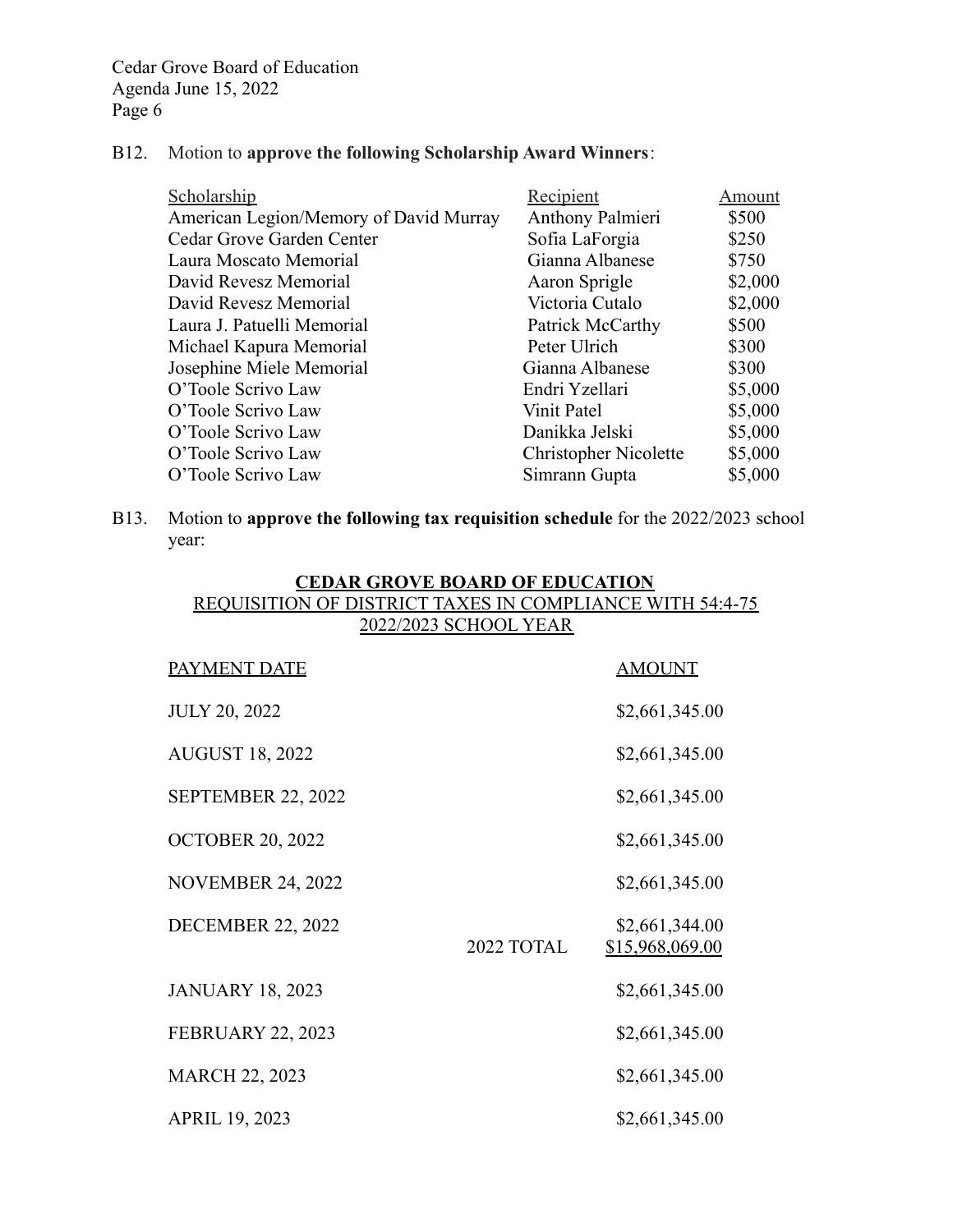# B12. Motion to **approve the following Scholarship Award Winners**:

| Scholarship                            | Recipient                    | Amount  |
|----------------------------------------|------------------------------|---------|
| American Legion/Memory of David Murray | Anthony Palmieri             | \$500   |
| Cedar Grove Garden Center              | Sofia LaForgia               | \$250   |
| Laura Moscato Memorial                 | Gianna Albanese              | \$750   |
| David Revesz Memorial                  | Aaron Sprigle                | \$2,000 |
| David Revesz Memorial                  | Victoria Cutalo              | \$2,000 |
| Laura J. Patuelli Memorial             | Patrick McCarthy             | \$500   |
| Michael Kapura Memorial                | Peter Ulrich                 | \$300   |
| Josephine Miele Memorial               | Gianna Albanese              | \$300   |
| O'Toole Scrivo Law                     | Endri Yzellari               | \$5,000 |
| O'Toole Scrivo Law                     | Vinit Patel                  | \$5,000 |
| O'Toole Scrivo Law                     | Danikka Jelski               | \$5,000 |
| O'Toole Scrivo Law                     | <b>Christopher Nicolette</b> | \$5,000 |
| O'Toole Scrivo Law                     | Simrann Gupta                | \$5,000 |

B13. Motion to **approve the following tax requisition schedule** for the 2022/2023 school year:

| <b>CEDAR GROVE BOARD OF EDUCATION</b><br><b>REQUISITION OF DISTRICT TAXES IN COMPLIANCE WITH 54:4-75</b> |                       |                                   |  |  |
|----------------------------------------------------------------------------------------------------------|-----------------------|-----------------------------------|--|--|
|                                                                                                          | 2022/2023 SCHOOL YEAR |                                   |  |  |
| <b>PAYMENT DATE</b>                                                                                      |                       | <b>AMOUNT</b>                     |  |  |
| <b>JULY 20, 2022</b>                                                                                     |                       | \$2,661,345.00                    |  |  |
| <b>AUGUST 18, 2022</b>                                                                                   |                       | \$2,661,345.00                    |  |  |
| SEPTEMBER 22, 2022                                                                                       |                       | \$2,661,345.00                    |  |  |
| <b>OCTOBER 20, 2022</b>                                                                                  |                       | \$2,661,345.00                    |  |  |
| <b>NOVEMBER 24, 2022</b>                                                                                 |                       | \$2,661,345.00                    |  |  |
| <b>DECEMBER 22, 2022</b>                                                                                 | 2022 TOTAL            | \$2,661,344.00<br>\$15,968,069.00 |  |  |
| <b>JANUARY 18, 2023</b>                                                                                  |                       | \$2,661,345.00                    |  |  |
| <b>FEBRUARY 22, 2023</b>                                                                                 |                       | \$2,661,345.00                    |  |  |
| <b>MARCH 22, 2023</b>                                                                                    |                       | \$2,661,345.00                    |  |  |
| <b>APRIL 19, 2023</b>                                                                                    |                       | \$2,661,345.00                    |  |  |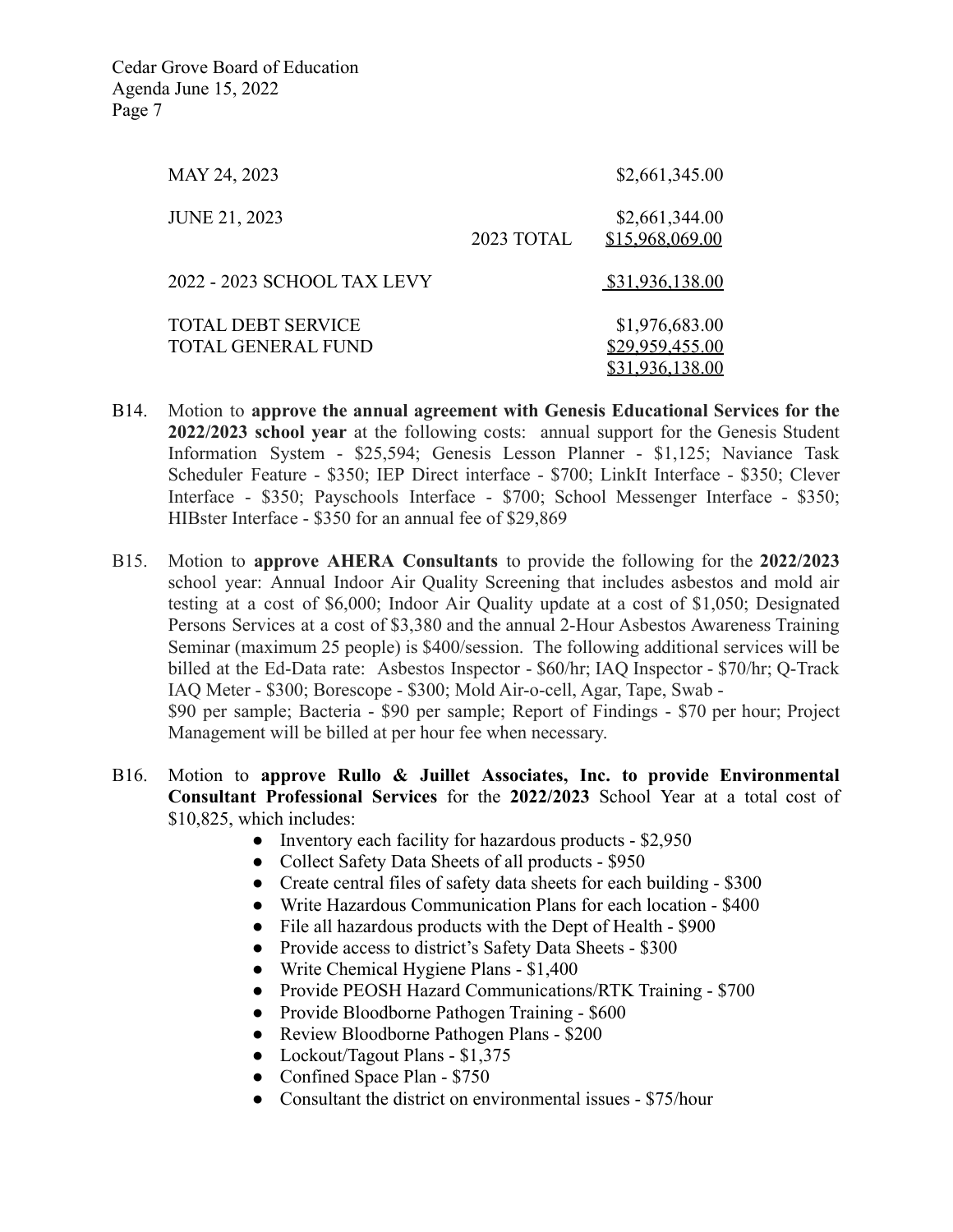| MAY 24, 2023                                           |            | \$2,661,345.00                                       |
|--------------------------------------------------------|------------|------------------------------------------------------|
| <b>JUNE 21, 2023</b>                                   | 2023 TOTAL | \$2,661,344.00<br>\$15,968,069.00                    |
| 2022 - 2023 SCHOOL TAX LEVY                            |            | \$31,936,138.00                                      |
| <b>TOTAL DEBT SERVICE</b><br><b>TOTAL GENERAL FUND</b> |            | \$1,976,683.00<br>\$29,959,455.00<br>\$31,936,138.00 |

- B14. Motion to **approve the annual agreement with Genesis Educational Services for the 2022/2023 school year** at the following costs: annual support for the Genesis Student Information System - \$25,594; Genesis Lesson Planner - \$1,125; Naviance Task Scheduler Feature - \$350; IEP Direct interface - \$700; LinkIt Interface - \$350; Clever Interface - \$350; Payschools Interface - \$700; School Messenger Interface - \$350; HIBster Interface - \$350 for an annual fee of \$29,869
- B15. Motion to **approve AHERA Consultants** to provide the following for the **2022/2023** school year: Annual Indoor Air Quality Screening that includes asbestos and mold air testing at a cost of \$6,000; Indoor Air Quality update at a cost of \$1,050; Designated Persons Services at a cost of \$3,380 and the annual 2-Hour Asbestos Awareness Training Seminar (maximum 25 people) is \$400/session. The following additional services will be billed at the Ed-Data rate: Asbestos Inspector - \$60/hr; IAQ Inspector - \$70/hr; Q-Track IAQ Meter - \$300; Borescope - \$300; Mold Air-o-cell, Agar, Tape, Swab - \$90 per sample; Bacteria - \$90 per sample; Report of Findings - \$70 per hour; Project Management will be billed at per hour fee when necessary.
- B16. Motion to **approve Rullo & Juillet Associates, Inc. to provide Environmental Consultant Professional Services** for the **2022/2023** School Year at a total cost of \$10,825, which includes:
	- Inventory each facility for hazardous products \$2,950
	- Collect Safety Data Sheets of all products \$950
	- Create central files of safety data sheets for each building \$300
	- Write Hazardous Communication Plans for each location \$400
	- File all hazardous products with the Dept of Health \$900
	- Provide access to district's Safety Data Sheets \$300
	- Write Chemical Hygiene Plans \$1,400
	- Provide PEOSH Hazard Communications/RTK Training \$700
	- Provide Bloodborne Pathogen Training \$600
	- Review Bloodborne Pathogen Plans \$200
	- Lockout/Tagout Plans \$1,375
	- Confined Space Plan \$750
	- Consultant the district on environmental issues \$75/hour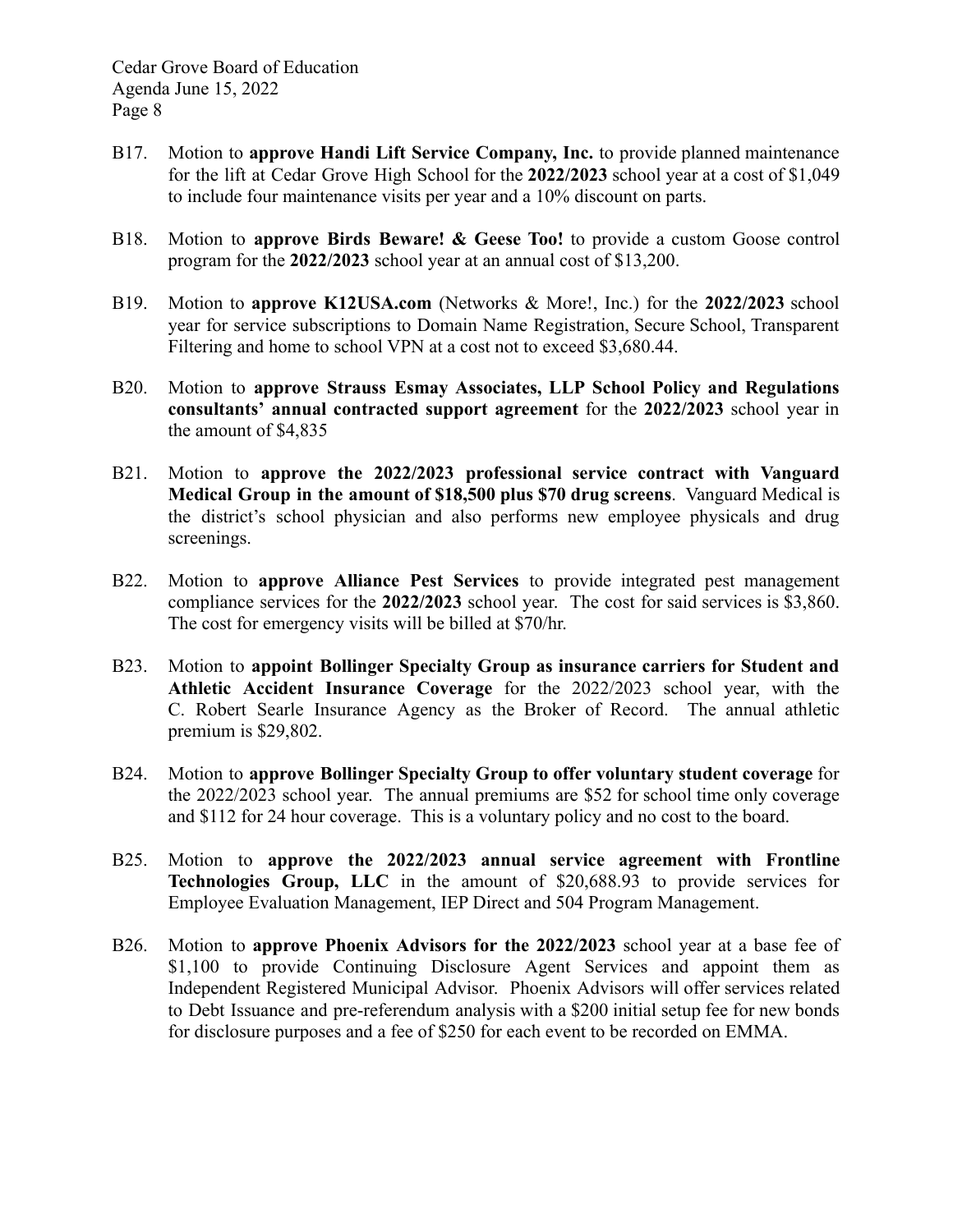- B17. Motion to **approve Handi Lift Service Company, Inc.** to provide planned maintenance for the lift at Cedar Grove High School for the **2022/2023** school year at a cost of \$1,049 to include four maintenance visits per year and a 10% discount on parts.
- B18. Motion to **approve Birds Beware! & Geese Too!** to provide a custom Goose control program for the **2022/2023** school year at an annual cost of \$13,200.
- B19. Motion to **approve K12USA.com** (Networks & More!, Inc.) for the **2022/2023** school year for service subscriptions to Domain Name Registration, Secure School, Transparent Filtering and home to school VPN at a cost not to exceed \$3,680.44.
- B20. Motion to **approve Strauss Esmay Associates, LLP School Policy and Regulations consultants' annual contracted support agreement** for the **2022/2023** school year in the amount of \$4,835
- B21. Motion to **approve the 2022/2023 professional service contract with Vanguard Medical Group in the amount of \$18,500 plus \$70 drug screens**. Vanguard Medical is the district's school physician and also performs new employee physicals and drug screenings.
- B22. Motion to **approve Alliance Pest Services** to provide integrated pest management compliance services for the **2022/2023** school year. The cost for said services is \$3,860. The cost for emergency visits will be billed at \$70/hr.
- B23. Motion to **appoint Bollinger Specialty Group as insurance carriers for Student and Athletic Accident Insurance Coverage** for the 2022/2023 school year, with the C. Robert Searle Insurance Agency as the Broker of Record. The annual athletic premium is \$29,802.
- B24. Motion to **approve Bollinger Specialty Group to offer voluntary student coverage** for the 2022/2023 school year. The annual premiums are \$52 for school time only coverage and \$112 for 24 hour coverage. This is a voluntary policy and no cost to the board.
- B25. Motion to **approve the 2022/2023 annual service agreement with Frontline Technologies Group, LLC** in the amount of \$20,688.93 to provide services for Employee Evaluation Management, IEP Direct and 504 Program Management.
- B26. Motion to **approve Phoenix Advisors for the 2022/2023** school year at a base fee of \$1,100 to provide Continuing Disclosure Agent Services and appoint them as Independent Registered Municipal Advisor. Phoenix Advisors will offer services related to Debt Issuance and pre-referendum analysis with a \$200 initial setup fee for new bonds for disclosure purposes and a fee of \$250 for each event to be recorded on EMMA.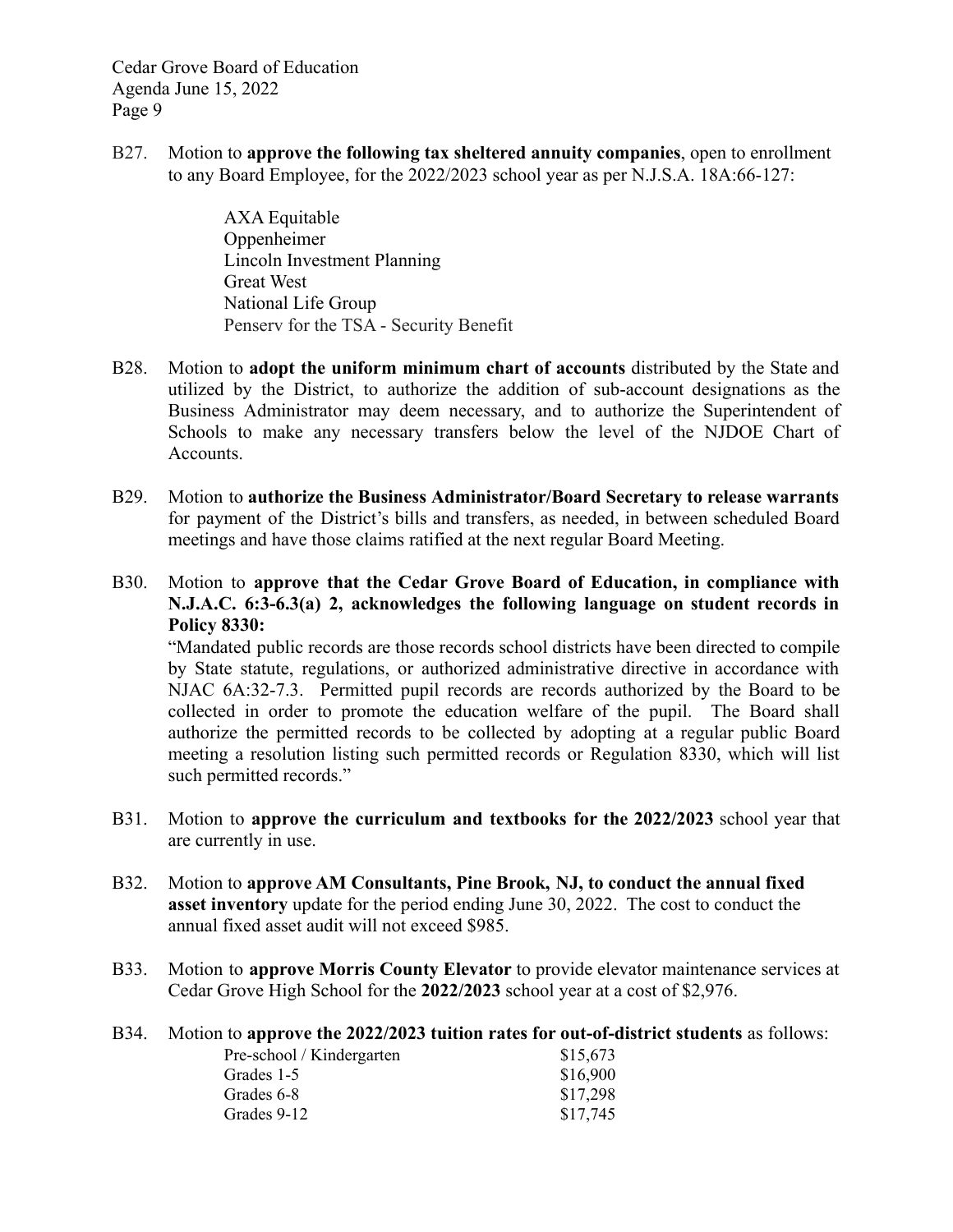B27. Motion to **approve the following tax sheltered annuity companies**, open to enrollment to any Board Employee, for the 2022/2023 school year as per N.J.S.A. 18A:66-127:

> AXA Equitable Oppenheimer Lincoln Investment Planning Great West National Life Group Penserv for the TSA - Security Benefit

- B28. Motion to **adopt the uniform minimum chart of accounts** distributed by the State and utilized by the District, to authorize the addition of sub-account designations as the Business Administrator may deem necessary, and to authorize the Superintendent of Schools to make any necessary transfers below the level of the NJDOE Chart of Accounts.
- B29. Motion to **authorize the Business Administrator/Board Secretary to release warrants** for payment of the District's bills and transfers, as needed, in between scheduled Board meetings and have those claims ratified at the next regular Board Meeting.
- B30. Motion to **approve that the Cedar Grove Board of Education, in compliance with N.J.A.C. 6:3-6.3(a) 2, acknowledges the following language on student records in Policy 8330:**

"Mandated public records are those records school districts have been directed to compile by State statute, regulations, or authorized administrative directive in accordance with NJAC 6A:32-7.3. Permitted pupil records are records authorized by the Board to be collected in order to promote the education welfare of the pupil. The Board shall authorize the permitted records to be collected by adopting at a regular public Board meeting a resolution listing such permitted records or Regulation 8330, which will list such permitted records."

- B31. Motion to **approve the curriculum and textbooks for the 2022/2023** school year that are currently in use.
- B32. Motion to **approve AM Consultants, Pine Brook, NJ, to conduct the annual fixed asset inventory** update for the period ending June 30, 2022. The cost to conduct the annual fixed asset audit will not exceed \$985.
- B33. Motion to **approve Morris County Elevator** to provide elevator maintenance services at Cedar Grove High School for the **2022/2023** school year at a cost of \$2,976.
- B34. Motion to **approve the 2022/2023 tuition rates for out-of-district students** as follows:

| Pre-school / Kindergarten | \$15,673 |
|---------------------------|----------|
| Grades 1-5                | \$16,900 |
| Grades 6-8                | \$17,298 |
| Grades 9-12               | \$17,745 |
|                           |          |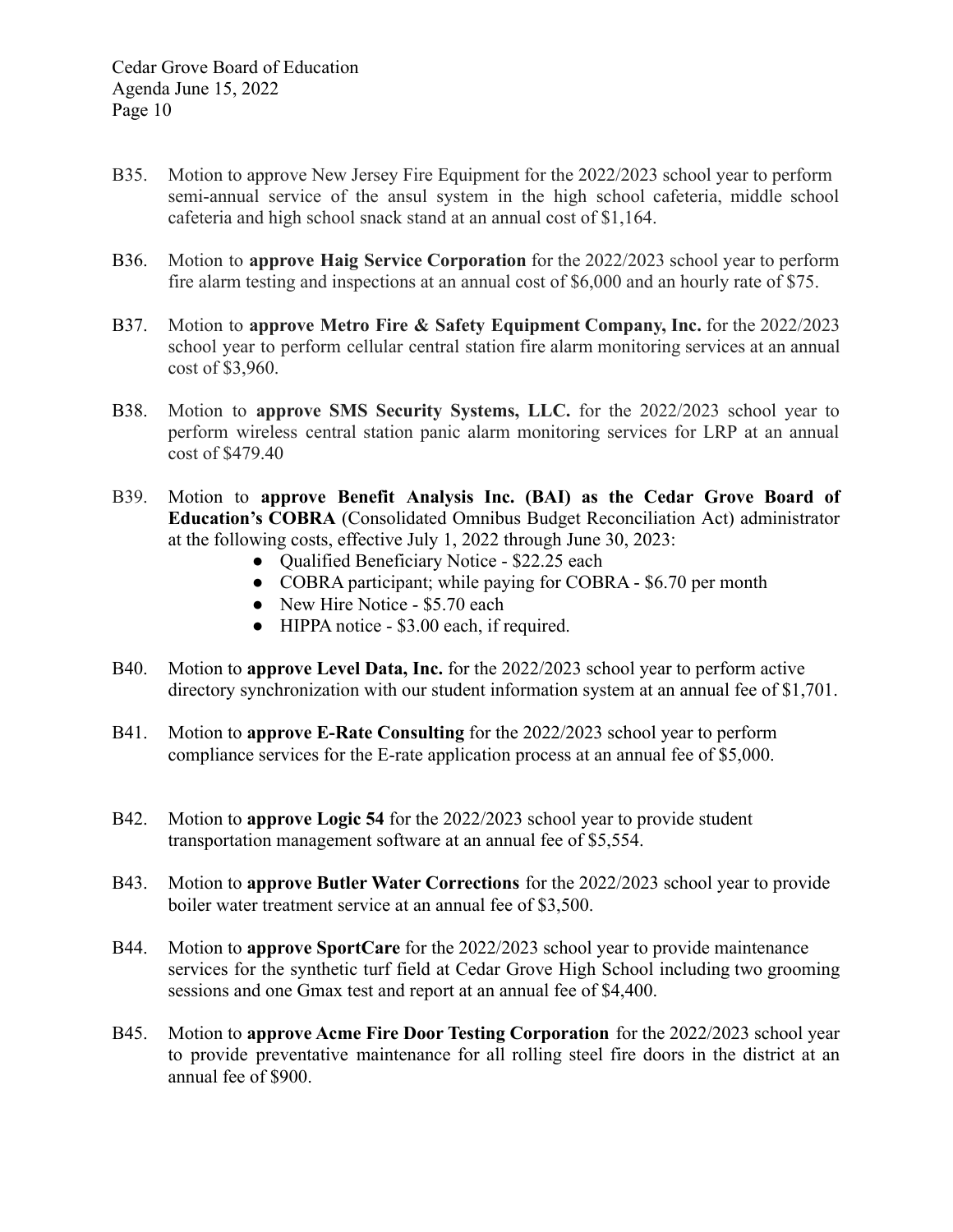- B35. Motion to approve New Jersey Fire Equipment for the 2022/2023 school year to perform semi-annual service of the ansul system in the high school cafeteria, middle school cafeteria and high school snack stand at an annual cost of \$1,164.
- B36. Motion to **approve Haig Service Corporation** for the 2022/2023 school year to perform fire alarm testing and inspections at an annual cost of \$6,000 and an hourly rate of \$75.
- B37. Motion to **approve Metro Fire & Safety Equipment Company, Inc.** for the 2022/2023 school year to perform cellular central station fire alarm monitoring services at an annual cost of \$3,960.
- B38. Motion to **approve SMS Security Systems, LLC.** for the 2022/2023 school year to perform wireless central station panic alarm monitoring services for LRP at an annual cost of \$479.40
- B39. Motion to **approve Benefit Analysis Inc. (BAI) as the Cedar Grove Board of Education's COBRA** (Consolidated Omnibus Budget Reconciliation Act) administrator at the following costs, effective July 1, 2022 through June 30, 2023:
	- Qualified Beneficiary Notice \$22.25 each
	- COBRA participant; while paying for COBRA \$6.70 per month
	- New Hire Notice \$5.70 each
	- HIPPA notice \$3.00 each, if required.
- B40. Motion to **approve Level Data, Inc.** for the 2022/2023 school year to perform active directory synchronization with our student information system at an annual fee of \$1,701.
- B41. Motion to **approve E-Rate Consulting** for the 2022/2023 school year to perform compliance services for the E-rate application process at an annual fee of \$5,000.
- B42. Motion to **approve Logic 54** for the 2022/2023 school year to provide student transportation management software at an annual fee of \$5,554.
- B43. Motion to **approve Butler Water Corrections** for the 2022/2023 school year to provide boiler water treatment service at an annual fee of \$3,500.
- B44. Motion to **approve SportCare** for the 2022/2023 school year to provide maintenance services for the synthetic turf field at Cedar Grove High School including two grooming sessions and one Gmax test and report at an annual fee of \$4,400.
- B45. Motion to **approve Acme Fire Door Testing Corporation** for the 2022/2023 school year to provide preventative maintenance for all rolling steel fire doors in the district at an annual fee of \$900.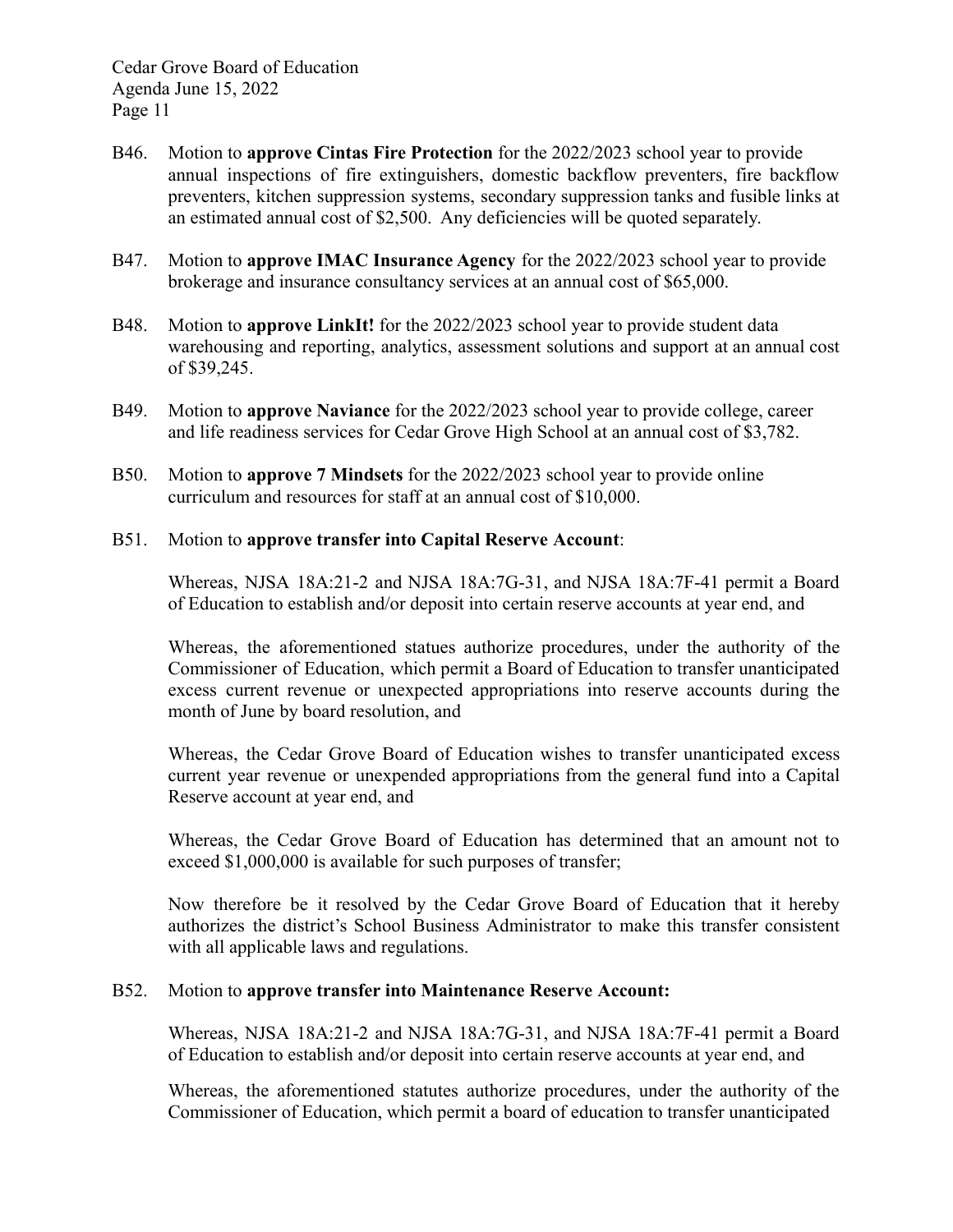- B46. Motion to **approve Cintas Fire Protection** for the 2022/2023 school year to provide annual inspections of fire extinguishers, domestic backflow preventers, fire backflow preventers, kitchen suppression systems, secondary suppression tanks and fusible links at an estimated annual cost of \$2,500. Any deficiencies will be quoted separately.
- B47. Motion to **approve IMAC Insurance Agency** for the 2022/2023 school year to provide brokerage and insurance consultancy services at an annual cost of \$65,000.
- B48. Motion to **approve LinkIt!** for the 2022/2023 school year to provide student data warehousing and reporting, analytics, assessment solutions and support at an annual cost of \$39,245.
- B49. Motion to **approve Naviance** for the 2022/2023 school year to provide college, career and life readiness services for Cedar Grove High School at an annual cost of \$3,782.
- B50. Motion to **approve 7 Mindsets** for the 2022/2023 school year to provide online curriculum and resources for staff at an annual cost of \$10,000.

### B51. Motion to **approve transfer into Capital Reserve Account**:

Whereas, NJSA 18A:21-2 and NJSA 18A:7G-31, and NJSA 18A:7F-41 permit a Board of Education to establish and/or deposit into certain reserve accounts at year end, and

Whereas, the aforementioned statues authorize procedures, under the authority of the Commissioner of Education, which permit a Board of Education to transfer unanticipated excess current revenue or unexpected appropriations into reserve accounts during the month of June by board resolution, and

Whereas, the Cedar Grove Board of Education wishes to transfer unanticipated excess current year revenue or unexpended appropriations from the general fund into a Capital Reserve account at year end, and

Whereas, the Cedar Grove Board of Education has determined that an amount not to exceed \$1,000,000 is available for such purposes of transfer;

Now therefore be it resolved by the Cedar Grove Board of Education that it hereby authorizes the district's School Business Administrator to make this transfer consistent with all applicable laws and regulations.

### B52. Motion to **approve transfer into Maintenance Reserve Account:**

Whereas, NJSA 18A:21-2 and NJSA 18A:7G-31, and NJSA 18A:7F-41 permit a Board of Education to establish and/or deposit into certain reserve accounts at year end, and

Whereas, the aforementioned statutes authorize procedures, under the authority of the Commissioner of Education, which permit a board of education to transfer unanticipated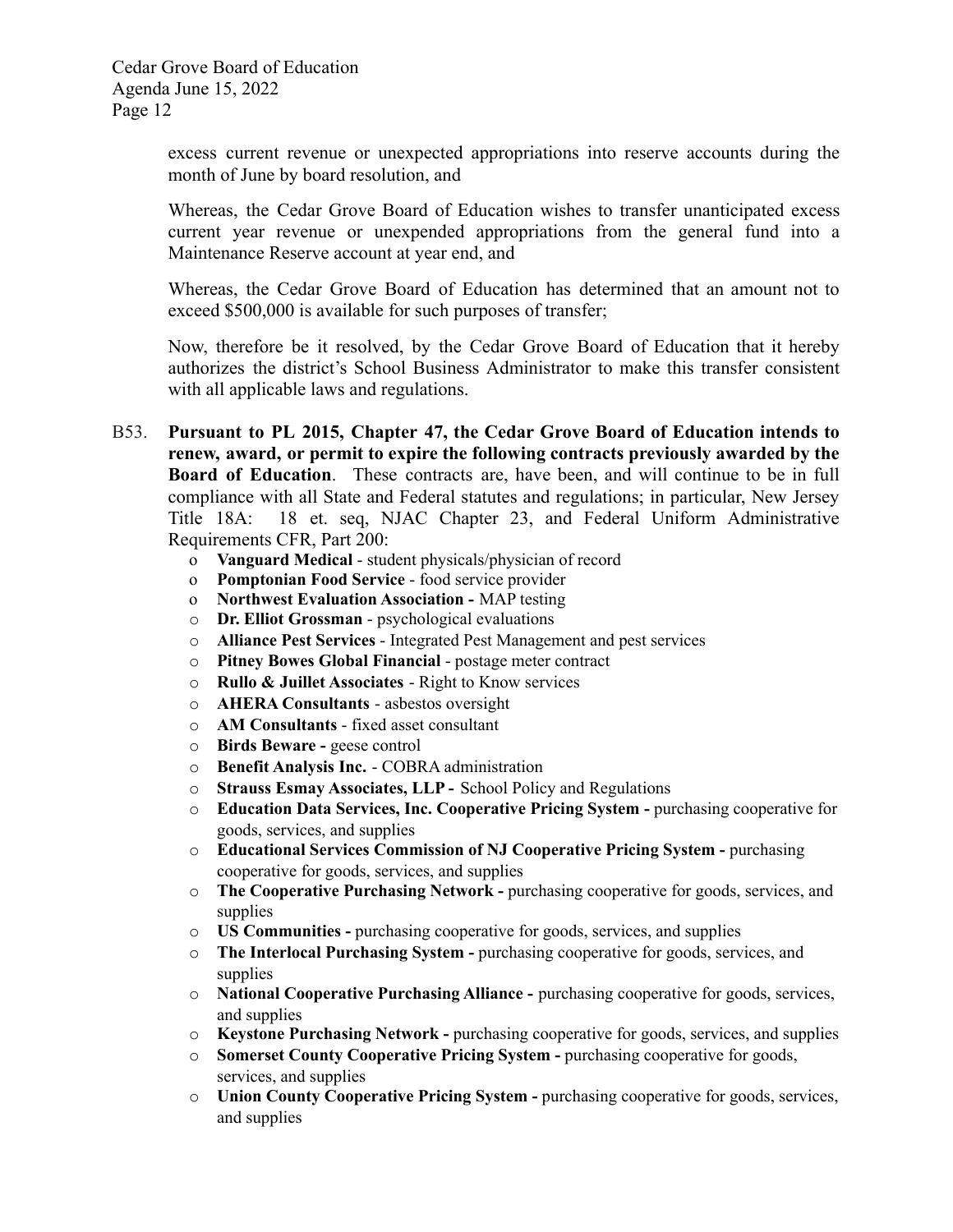excess current revenue or unexpected appropriations into reserve accounts during the month of June by board resolution, and

Whereas, the Cedar Grove Board of Education wishes to transfer unanticipated excess current year revenue or unexpended appropriations from the general fund into a Maintenance Reserve account at year end, and

Whereas, the Cedar Grove Board of Education has determined that an amount not to exceed \$500,000 is available for such purposes of transfer;

Now, therefore be it resolved, by the Cedar Grove Board of Education that it hereby authorizes the district's School Business Administrator to make this transfer consistent with all applicable laws and regulations.

- B53. **Pursuant to PL 2015, Chapter 47, the Cedar Grove Board of Education intends to renew, award, or permit to expire the following contracts previously awarded by the Board of Education**. These contracts are, have been, and will continue to be in full compliance with all State and Federal statutes and regulations; in particular, New Jersey Title 18A: 18 et. seq, NJAC Chapter 23, and Federal Uniform Administrative Requirements CFR, Part 200:
	- o **Vanguard Medical** student physicals/physician of record
	- o **Pomptonian Food Service** food service provider
	- o **Northwest Evaluation Association -** MAP testing
	- o **Dr. Elliot Grossman** psychological evaluations
	- o **Alliance Pest Services** Integrated Pest Management and pest services
	- o **Pitney Bowes Global Financial** postage meter contract
	- o **Rullo & Juillet Associates** Right to Know services
	- o **AHERA Consultants** asbestos oversight
	- o **AM Consultants** fixed asset consultant
	- o **Birds Beware -** geese control
	- o **Benefit Analysis Inc.** COBRA administration
	- o **Strauss Esmay Associates, LLP -** School Policy and Regulations
	- o **Education Data Services, Inc. Cooperative Pricing System -** purchasing cooperative for goods, services, and supplies
	- o **Educational Services Commission of NJ Cooperative Pricing System -** purchasing cooperative for goods, services, and supplies
	- o **The Cooperative Purchasing Network -** purchasing cooperative for goods, services, and supplies
	- o **US Communities -** purchasing cooperative for goods, services, and supplies
	- o **The Interlocal Purchasing System -** purchasing cooperative for goods, services, and supplies
	- o **National Cooperative Purchasing Alliance -** purchasing cooperative for goods, services, and supplies
	- o **Keystone Purchasing Network -** purchasing cooperative for goods, services, and supplies
	- o **Somerset County Cooperative Pricing System -** purchasing cooperative for goods, services, and supplies
	- o **Union County Cooperative Pricing System -** purchasing cooperative for goods, services, and supplies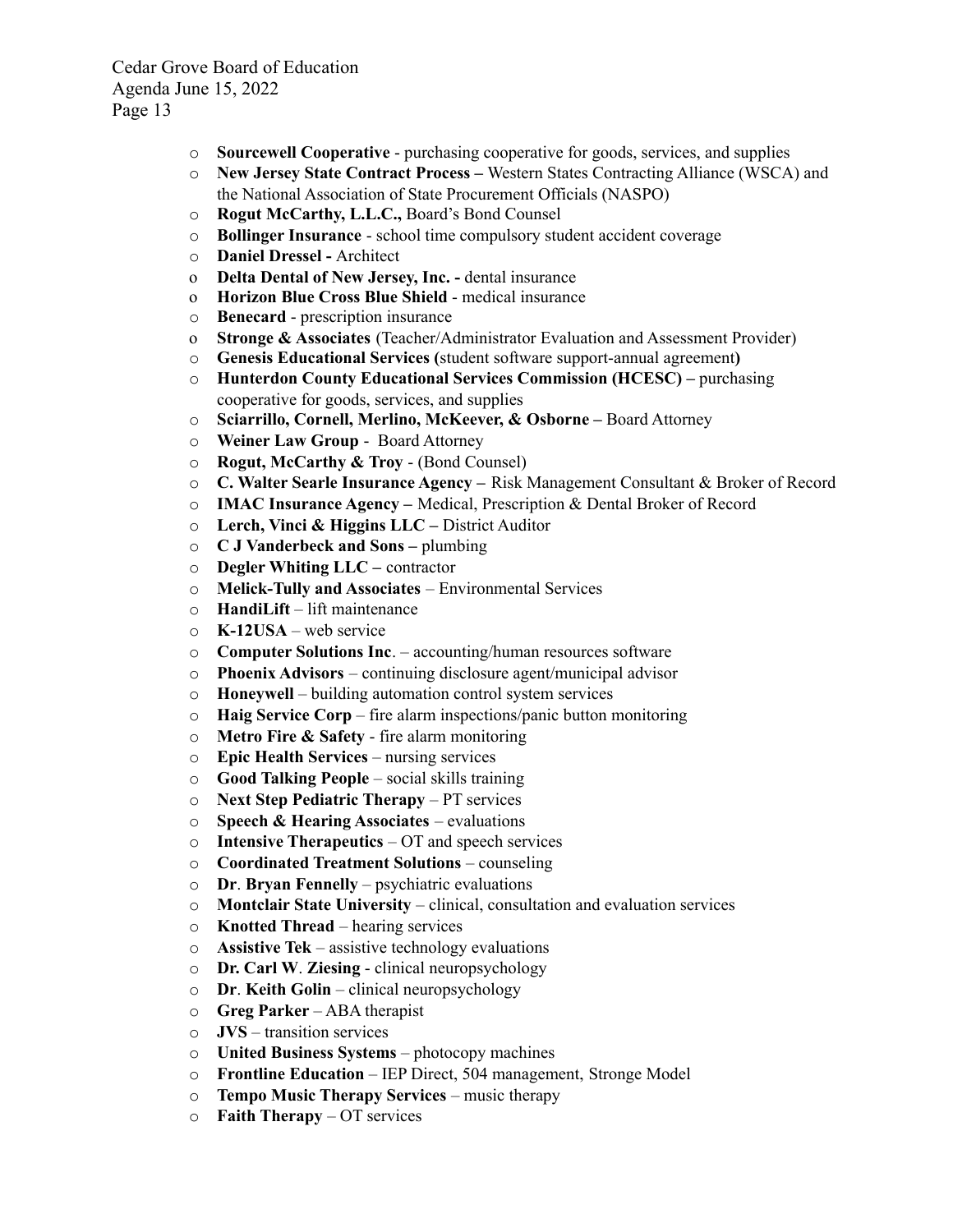- o **Sourcewell Cooperative** purchasing cooperative for goods, services, and supplies
- o **New Jersey State Contract Process –** Western States Contracting Alliance (WSCA) and the National Association of State Procurement Officials (NASPO)
- o **Rogut McCarthy, L.L.C.,** Board's Bond Counsel
- o **Bollinger Insurance** school time compulsory student accident coverage
- o **Daniel Dressel -** Architect
- o **Delta Dental of New Jersey, Inc. -** dental insurance
- o **Horizon Blue Cross Blue Shield** medical insurance
- o **Benecard** prescription insurance
- o **Stronge & Associates** (Teacher/Administrator Evaluation and Assessment Provider)
- o **Genesis Educational Services (**student software support-annual agreement**)**
- o **Hunterdon County Educational Services Commission (HCESC) –** purchasing cooperative for goods, services, and supplies
- o **Sciarrillo, Cornell, Merlino, McKeever, & Osborne –** Board Attorney
- o **Weiner Law Group** Board Attorney
- o **Rogut, McCarthy & Troy** (Bond Counsel)
- o **C. Walter Searle Insurance Agency –** Risk Management Consultant & Broker of Record
- o **IMAC Insurance Agency –** Medical, Prescription & Dental Broker of Record
- o **Lerch, Vinci & Higgins LLC –** District Auditor
- o **C J Vanderbeck and Sons –** plumbing
- o **Degler Whiting LLC –** contractor
- o **Melick-Tully and Associates** Environmental Services
- o **HandiLift** lift maintenance
- o **K-12USA** web service
- o **Computer Solutions Inc**. accounting/human resources software
- o **Phoenix Advisors** continuing disclosure agent/municipal advisor
- o **Honeywell** building automation control system services
- o **Haig Service Corp** fire alarm inspections/panic button monitoring
- o **Metro Fire & Safety** fire alarm monitoring
- o **Epic Health Services** nursing services
- o **Good Talking People** social skills training
- o **Next Step Pediatric Therapy** PT services
- o **Speech & Hearing Associates** evaluations
- o **Intensive Therapeutics** OT and speech services
- o **Coordinated Treatment Solutions** counseling
- o **Dr**. **Bryan Fennelly** psychiatric evaluations
- o **Montclair State University** clinical, consultation and evaluation services
- o **Knotted Thread** hearing services
- o **Assistive Tek** assistive technology evaluations
- o **Dr. Carl W**. **Ziesing** clinical neuropsychology
- o **Dr**. **Keith Golin** clinical neuropsychology
- o **Greg Parker** ABA therapist
- o **JVS** transition services
- o **United Business Systems** photocopy machines
- o **Frontline Education** IEP Direct, 504 management, Stronge Model
- o **Tempo Music Therapy Services** music therapy
- o **Faith Therapy** OT services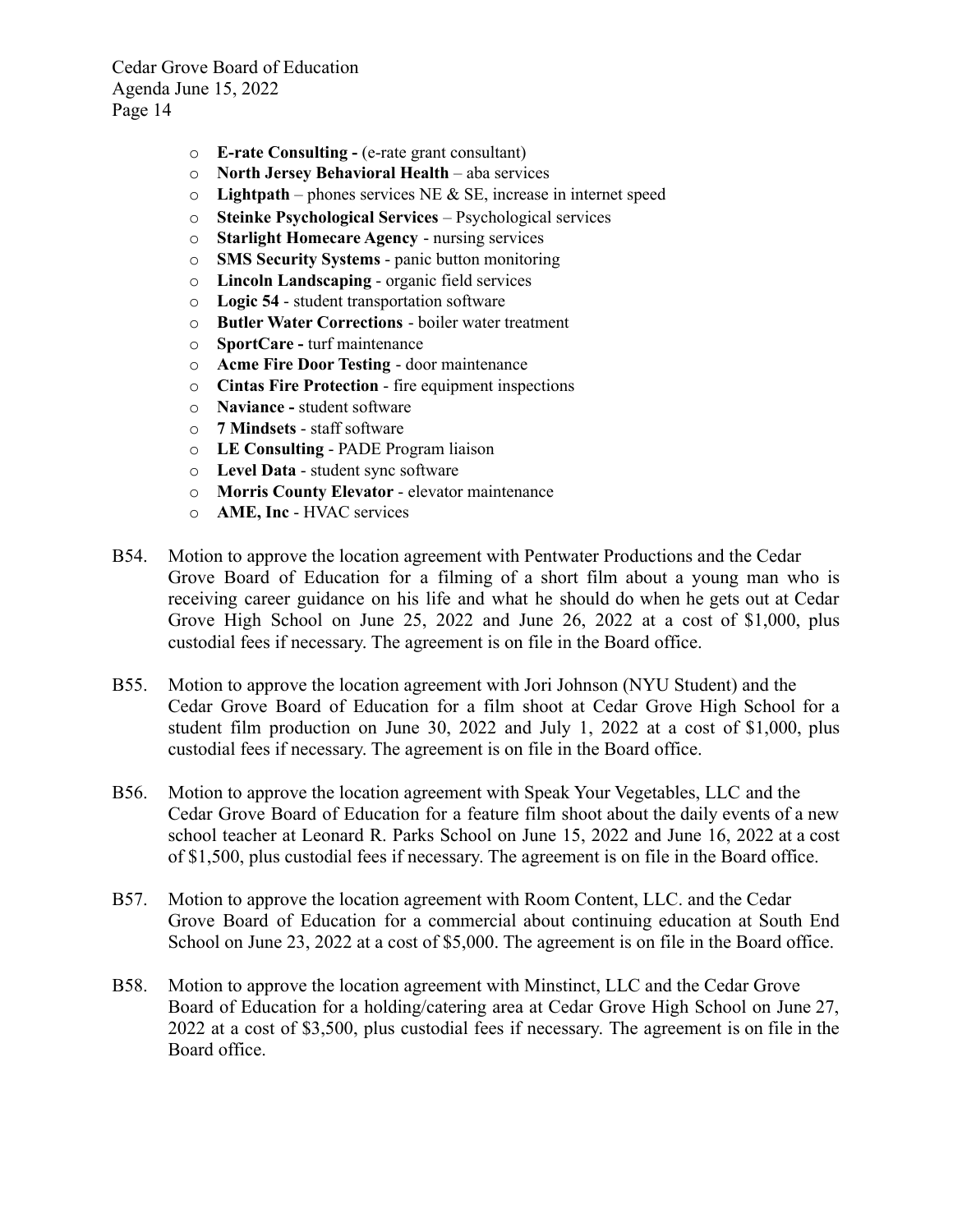- o **E-rate Consulting -** (e-rate grant consultant)
- o **North Jersey Behavioral Health** aba services
- o **Lightpath** phones services NE & SE, increase in internet speed
- o **Steinke Psychological Services** Psychological services
- o **Starlight Homecare Agency** nursing services
- o **SMS Security Systems** panic button monitoring
- o **Lincoln Landscaping** organic field services
- o **Logic 54** student transportation software
- o **Butler Water Corrections** boiler water treatment
- o **SportCare -** turf maintenance
- o **Acme Fire Door Testing** door maintenance
- o **Cintas Fire Protection** fire equipment inspections
- o **Naviance -** student software
- o **7 Mindsets** staff software
- o **LE Consulting** PADE Program liaison
- o **Level Data** student sync software
- o **Morris County Elevator** elevator maintenance
- o **AME, Inc** HVAC services
- B54. Motion to approve the location agreement with Pentwater Productions and the Cedar Grove Board of Education for a filming of a short film about a young man who is receiving career guidance on his life and what he should do when he gets out at Cedar Grove High School on June 25, 2022 and June 26, 2022 at a cost of \$1,000, plus custodial fees if necessary. The agreement is on file in the Board office.
- B55. Motion to approve the location agreement with Jori Johnson (NYU Student) and the Cedar Grove Board of Education for a film shoot at Cedar Grove High School for a student film production on June 30, 2022 and July 1, 2022 at a cost of \$1,000, plus custodial fees if necessary. The agreement is on file in the Board office.
- B56. Motion to approve the location agreement with Speak Your Vegetables, LLC and the Cedar Grove Board of Education for a feature film shoot about the daily events of a new school teacher at Leonard R. Parks School on June 15, 2022 and June 16, 2022 at a cost of \$1,500, plus custodial fees if necessary. The agreement is on file in the Board office.
- B57. Motion to approve the location agreement with Room Content, LLC. and the Cedar Grove Board of Education for a commercial about continuing education at South End School on June 23, 2022 at a cost of \$5,000. The agreement is on file in the Board office.
- B58. Motion to approve the location agreement with Minstinct, LLC and the Cedar Grove Board of Education for a holding/catering area at Cedar Grove High School on June 27, 2022 at a cost of \$3,500, plus custodial fees if necessary. The agreement is on file in the Board office.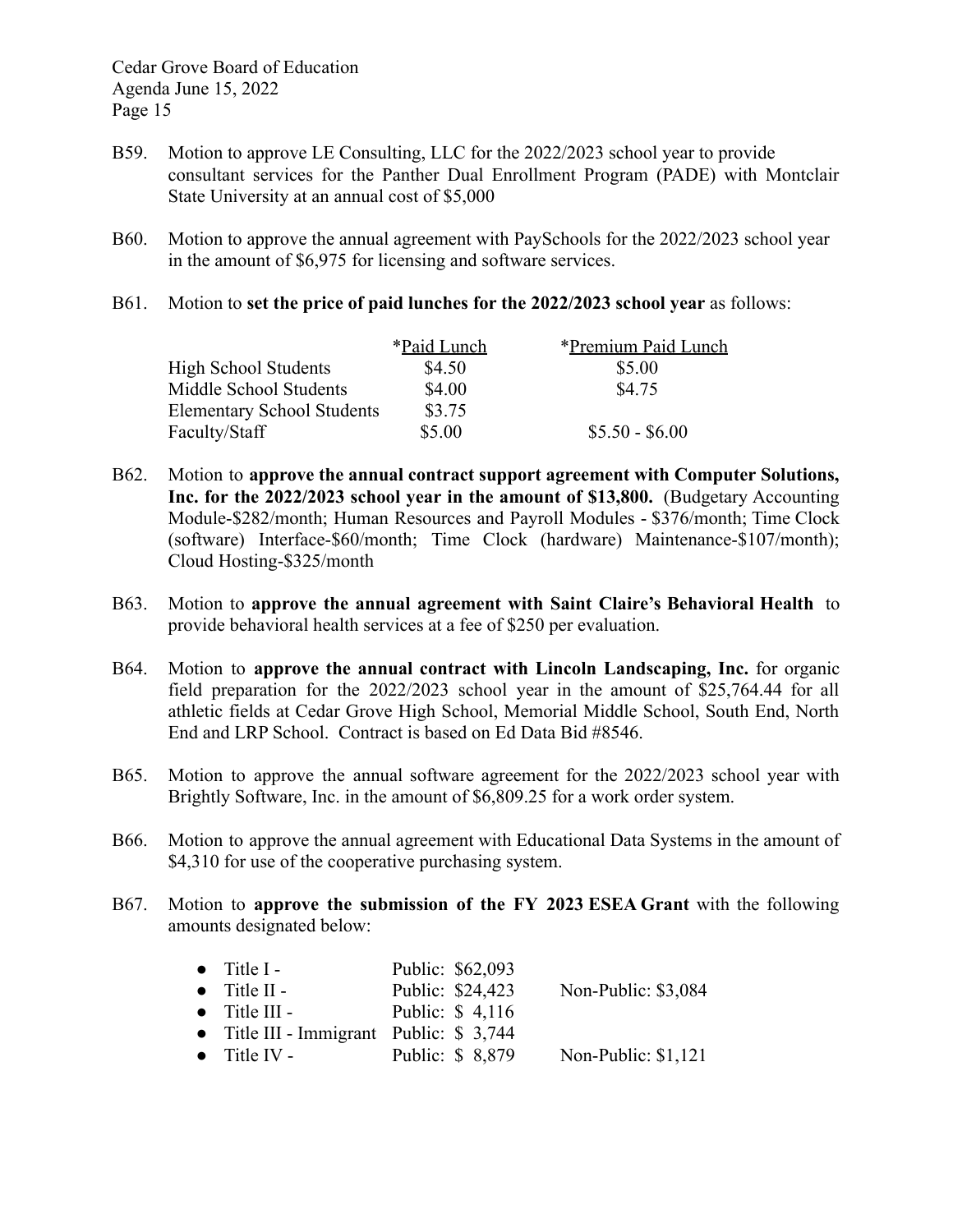- B59. Motion to approve LE Consulting, LLC for the 2022/2023 school year to provide consultant services for the Panther Dual Enrollment Program (PADE) with Montclair State University at an annual cost of \$5,000
- B60. Motion to approve the annual agreement with PaySchools for the 2022/2023 school year in the amount of \$6,975 for licensing and software services.
- B61. Motion to **set the price of paid lunches for the 2022/2023 school year** as follows:

|                                   | *Paid Lunch | *Premium Paid Lunch |
|-----------------------------------|-------------|---------------------|
| <b>High School Students</b>       | \$4.50      | \$5.00              |
| Middle School Students            | \$4.00      | \$4.75              |
| <b>Elementary School Students</b> | \$3.75      |                     |
| Faculty/Staff                     | \$5.00      | $$5.50 - $6.00$     |

- B62. Motion to **approve the annual contract support agreement with Computer Solutions, Inc. for the 2022/2023 school year in the amount of \$13,800.** (Budgetary Accounting Module-\$282/month; Human Resources and Payroll Modules - \$376/month; Time Clock (software) Interface-\$60/month; Time Clock (hardware) Maintenance-\$107/month); Cloud Hosting-\$325/month
- B63. Motion to **approve the annual agreement with Saint Claire's Behavioral Health** to provide behavioral health services at a fee of \$250 per evaluation.
- B64. Motion to **approve the annual contract with Lincoln Landscaping, Inc.** for organic field preparation for the 2022/2023 school year in the amount of \$25,764.44 for all athletic fields at Cedar Grove High School, Memorial Middle School, South End, North End and LRP School. Contract is based on Ed Data Bid #8546.
- B65. Motion to approve the annual software agreement for the 2022/2023 school year with Brightly Software, Inc. in the amount of \$6,809.25 for a work order system.
- B66. Motion to approve the annual agreement with Educational Data Systems in the amount of \$4,310 for use of the cooperative purchasing system.
- B67. Motion to **approve the submission of the FY 2023 ESEA Grant** with the following amounts designated below:

| $\bullet$ Title I -                      | Public: \$62,093 |                      |
|------------------------------------------|------------------|----------------------|
| $\bullet$ Title II -                     | Public: \$24,423 | Non-Public: \$3,084  |
| $\bullet$ Title III -                    | Public: \$4,116  |                      |
| • Title III - Immigrant Public: $$3,744$ |                  |                      |
| $\bullet$ Title IV -                     | Public: \$8,879  | Non-Public: $$1,121$ |
|                                          |                  |                      |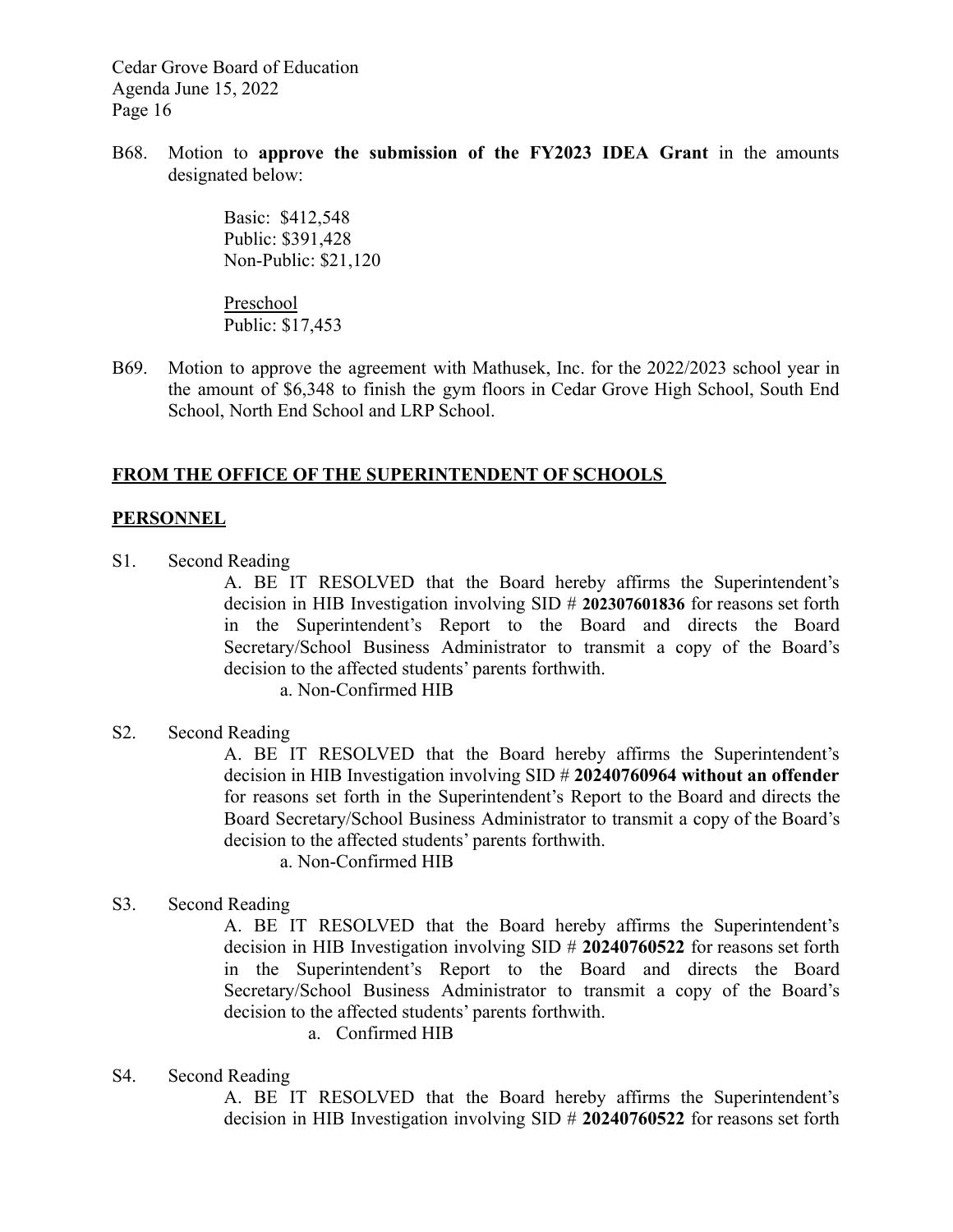B68. Motion to **approve the submission of the FY2023 IDEA Grant** in the amounts designated below:

> Basic: \$412,548 Public: \$391,428 Non-Public: \$21,120

Preschool Public: \$17,453

B69. Motion to approve the agreement with Mathusek, Inc. for the 2022/2023 school year in the amount of \$6,348 to finish the gym floors in Cedar Grove High School, South End School, North End School and LRP School.

# **FROM THE OFFICE OF THE SUPERINTENDENT OF SCHOOLS**

## **PERSONNEL**

S1. Second Reading

A. BE IT RESOLVED that the Board hereby affirms the Superintendent's decision in HIB Investigation involving SID # **202307601836** for reasons set forth in the Superintendent's Report to the Board and directs the Board Secretary/School Business Administrator to transmit a copy of the Board's decision to the affected students' parents forthwith.

a. Non-Confirmed HIB

S2. Second Reading

A. BE IT RESOLVED that the Board hereby affirms the Superintendent's decision in HIB Investigation involving SID # **20240760964 without an offender** for reasons set forth in the Superintendent's Report to the Board and directs the Board Secretary/School Business Administrator to transmit a copy of the Board's decision to the affected students' parents forthwith.

- a. Non-Confirmed HIB
- S3. Second Reading

A. BE IT RESOLVED that the Board hereby affirms the Superintendent's decision in HIB Investigation involving SID # **20240760522** for reasons set forth in the Superintendent's Report to the Board and directs the Board Secretary/School Business Administrator to transmit a copy of the Board's decision to the affected students' parents forthwith.

- a. Confirmed HIB
- S4. Second Reading

A. BE IT RESOLVED that the Board hereby affirms the Superintendent's decision in HIB Investigation involving SID # **20240760522** for reasons set forth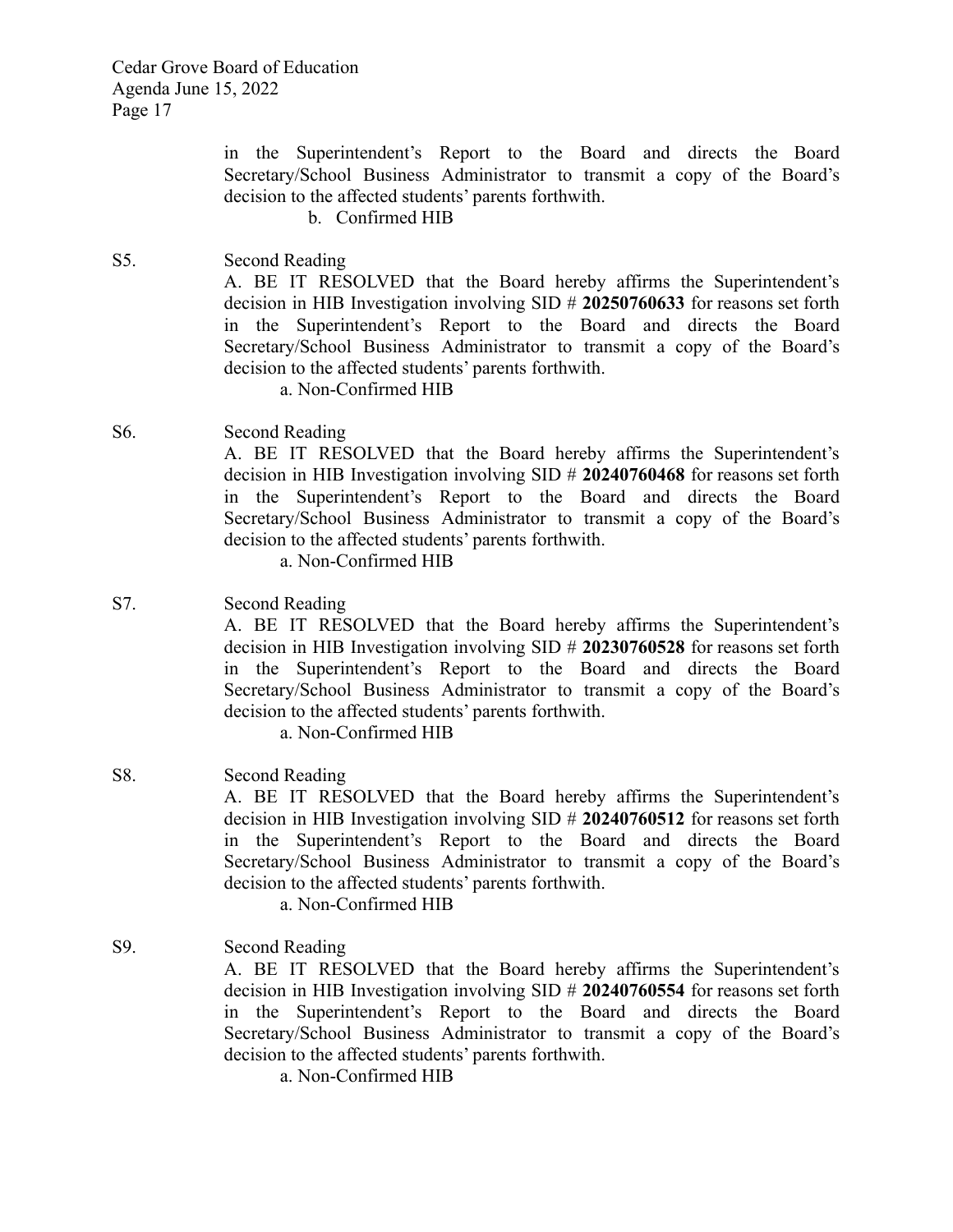in the Superintendent's Report to the Board and directs the Board Secretary/School Business Administrator to transmit a copy of the Board's decision to the affected students' parents forthwith.

b. Confirmed HIB

- S5. Second Reading A. BE IT RESOLVED that the Board hereby affirms the Superintendent's decision in HIB Investigation involving SID # **20250760633** for reasons set forth in the Superintendent's Report to the Board and directs the Board Secretary/School Business Administrator to transmit a copy of the Board's decision to the affected students' parents forthwith. a. Non-Confirmed HIB
- S6. Second Reading A. BE IT RESOLVED that the Board hereby affirms the Superintendent's decision in HIB Investigation involving SID # **20240760468** for reasons set forth in the Superintendent's Report to the Board and directs the Board Secretary/School Business Administrator to transmit a copy of the Board's decision to the affected students' parents forthwith. a. Non-Confirmed HIB
- S7. Second Reading A. BE IT RESOLVED that the Board hereby affirms the Superintendent's decision in HIB Investigation involving SID # **20230760528** for reasons set forth in the Superintendent's Report to the Board and directs the Board Secretary/School Business Administrator to transmit a copy of the Board's decision to the affected students' parents forthwith.

a. Non-Confirmed HIB

- S8. Second Reading A. BE IT RESOLVED that the Board hereby affirms the Superintendent's decision in HIB Investigation involving SID # **20240760512** for reasons set forth in the Superintendent's Report to the Board and directs the Board Secretary/School Business Administrator to transmit a copy of the Board's decision to the affected students' parents forthwith. a. Non-Confirmed HIB
- S9. Second Reading A. BE IT RESOLVED that the Board hereby affirms the Superintendent's decision in HIB Investigation involving SID # **20240760554** for reasons set forth in the Superintendent's Report to the Board and directs the Board Secretary/School Business Administrator to transmit a copy of the Board's decision to the affected students' parents forthwith.
	- a. Non-Confirmed HIB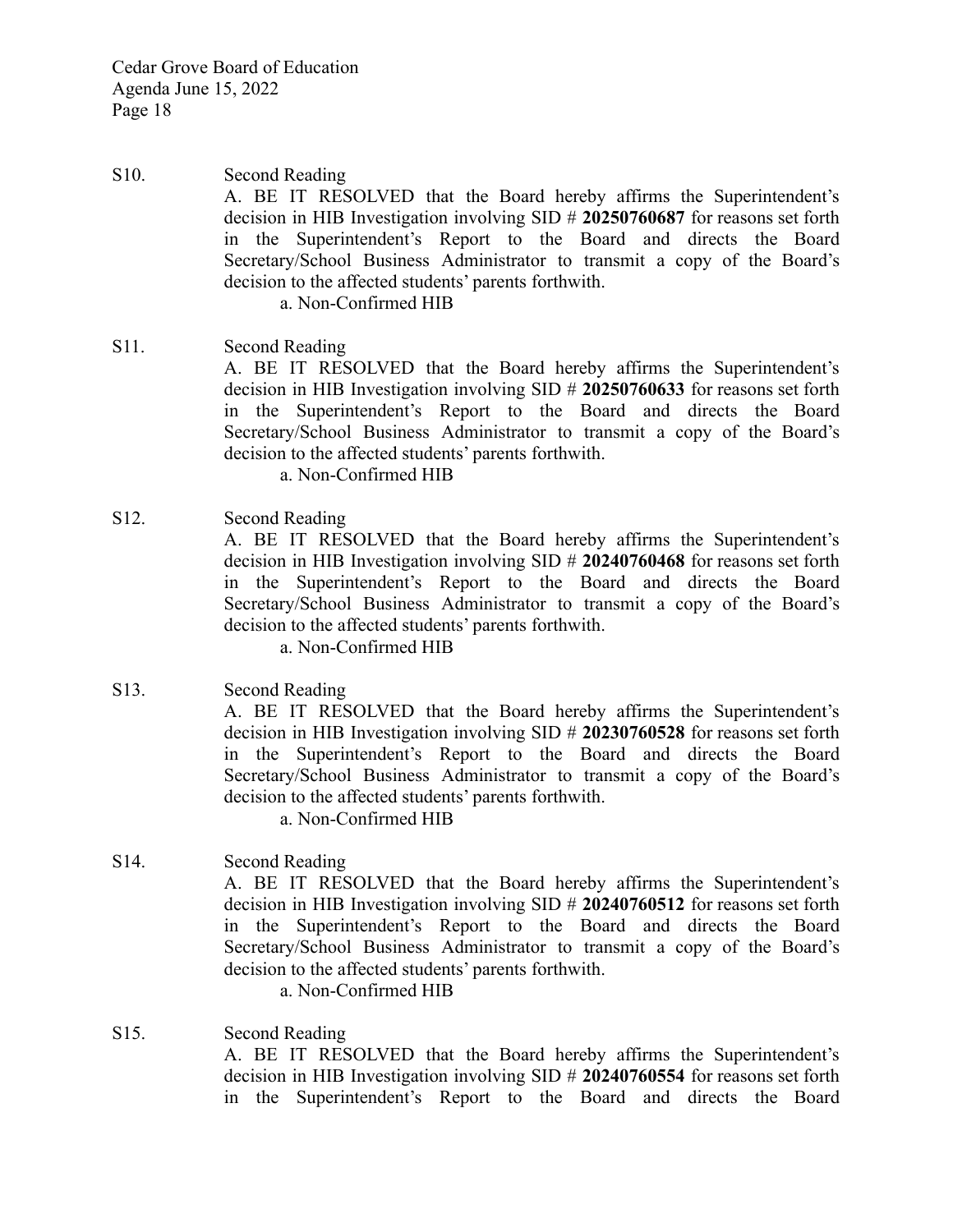S10. Second Reading A. BE IT RESOLVED that the Board hereby affirms the Superintendent's decision in HIB Investigation involving SID # **20250760687** for reasons set forth in the Superintendent's Report to the Board and directs the Board Secretary/School Business Administrator to transmit a copy of the Board's decision to the affected students' parents forthwith. a. Non-Confirmed HIB

# S11. Second Reading

A. BE IT RESOLVED that the Board hereby affirms the Superintendent's decision in HIB Investigation involving SID # **20250760633** for reasons set forth in the Superintendent's Report to the Board and directs the Board Secretary/School Business Administrator to transmit a copy of the Board's decision to the affected students' parents forthwith.

a. Non-Confirmed HIB

## S12. Second Reading

A. BE IT RESOLVED that the Board hereby affirms the Superintendent's decision in HIB Investigation involving SID # **20240760468** for reasons set forth in the Superintendent's Report to the Board and directs the Board Secretary/School Business Administrator to transmit a copy of the Board's decision to the affected students' parents forthwith.

a. Non-Confirmed HIB

S13. Second Reading

A. BE IT RESOLVED that the Board hereby affirms the Superintendent's decision in HIB Investigation involving SID # **20230760528** for reasons set forth in the Superintendent's Report to the Board and directs the Board Secretary/School Business Administrator to transmit a copy of the Board's decision to the affected students' parents forthwith.

a. Non-Confirmed HIB

S14. Second Reading A. BE IT RESOLVED that the Board hereby affirms the Superintendent's decision in HIB Investigation involving SID # **20240760512** for reasons set forth in the Superintendent's Report to the Board and directs the Board Secretary/School Business Administrator to transmit a copy of the Board's decision to the affected students' parents forthwith.

a. Non-Confirmed HIB

S15. Second Reading A. BE IT RESOLVED that the Board hereby affirms the Superintendent's decision in HIB Investigation involving SID # **20240760554** for reasons set forth in the Superintendent's Report to the Board and directs the Board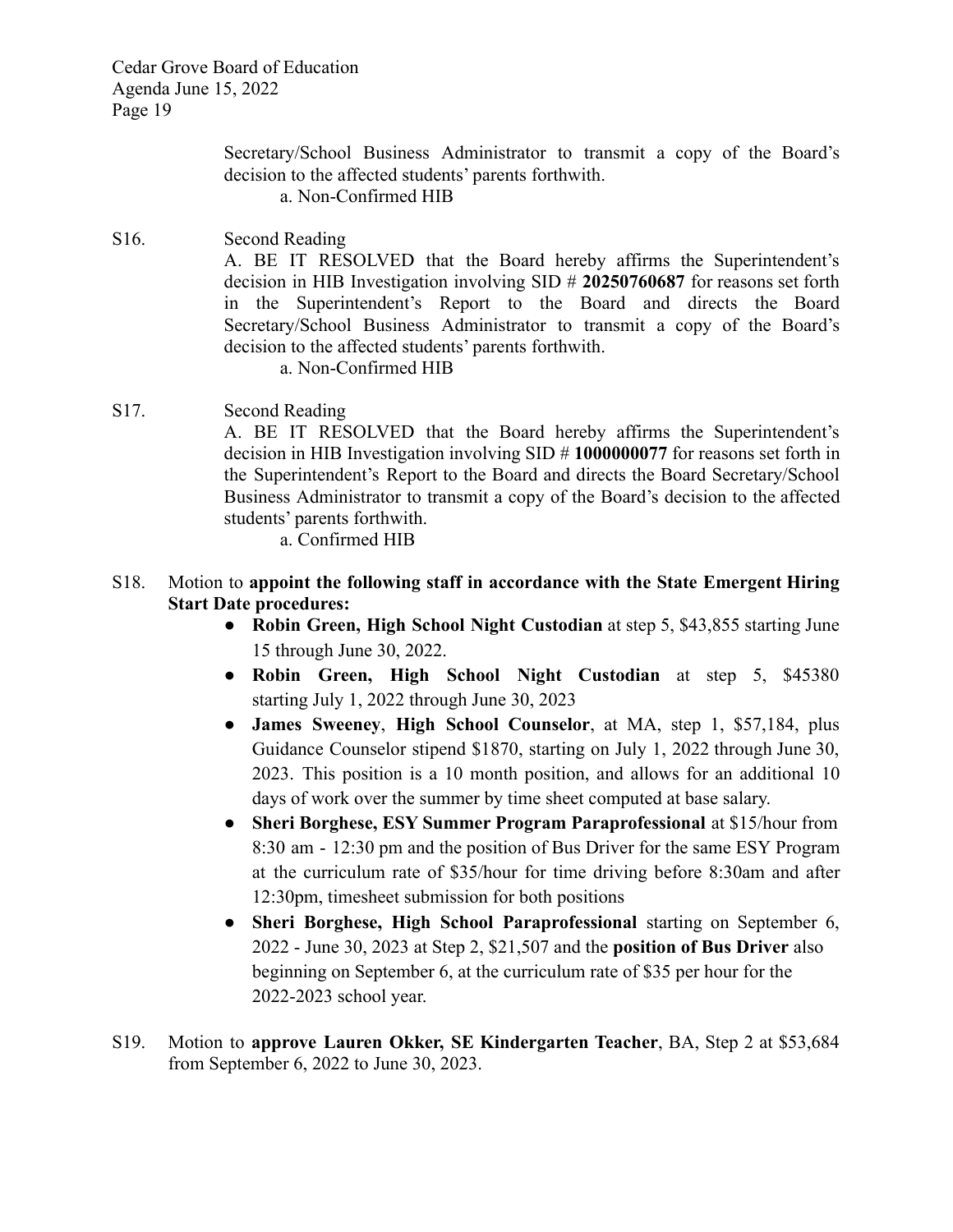> Secretary/School Business Administrator to transmit a copy of the Board's decision to the affected students' parents forthwith.

a. Non-Confirmed HIB

- S16. Second Reading A. BE IT RESOLVED that the Board hereby affirms the Superintendent's decision in HIB Investigation involving SID # **20250760687** for reasons set forth in the Superintendent's Report to the Board and directs the Board Secretary/School Business Administrator to transmit a copy of the Board's decision to the affected students' parents forthwith.
	- a. Non-Confirmed HIB
- S17. Second Reading

A. BE IT RESOLVED that the Board hereby affirms the Superintendent's decision in HIB Investigation involving SID # **1000000077** for reasons set forth in the Superintendent's Report to the Board and directs the Board Secretary/School Business Administrator to transmit a copy of the Board's decision to the affected students' parents forthwith.

a. Confirmed HIB

# S18. Motion to **appoint the following staff in accordance with the State Emergent Hiring Start Date procedures:**

- **Robin Green, High School Night Custodian** at step 5, \$43,855 starting June 15 through June 30, 2022.
- **Robin Green, High School Night Custodian** at step 5, \$45380 starting July 1, 2022 through June 30, 2023
- **James Sweeney**, **High School Counselor**, at MA, step 1, \$57,184, plus Guidance Counselor stipend \$1870, starting on July 1, 2022 through June 30, 2023. This position is a 10 month position, and allows for an additional 10 days of work over the summer by time sheet computed at base salary.
- **Sheri Borghese, ESY Summer Program Paraprofessional** at \$15/hour from 8:30 am - 12:30 pm and the position of Bus Driver for the same ESY Program at the curriculum rate of \$35/hour for time driving before 8:30am and after 12:30pm, timesheet submission for both positions
- **Sheri Borghese, High School Paraprofessional** starting on September 6, 2022 - June 30, 2023 at Step 2, \$21,507 and the **position of Bus Driver** also beginning on September 6, at the curriculum rate of \$35 per hour for the 2022-2023 school year.
- S19. Motion to **approve Lauren Okker, SE Kindergarten Teacher**, BA, Step 2 at \$53,684 from September 6, 2022 to June 30, 2023.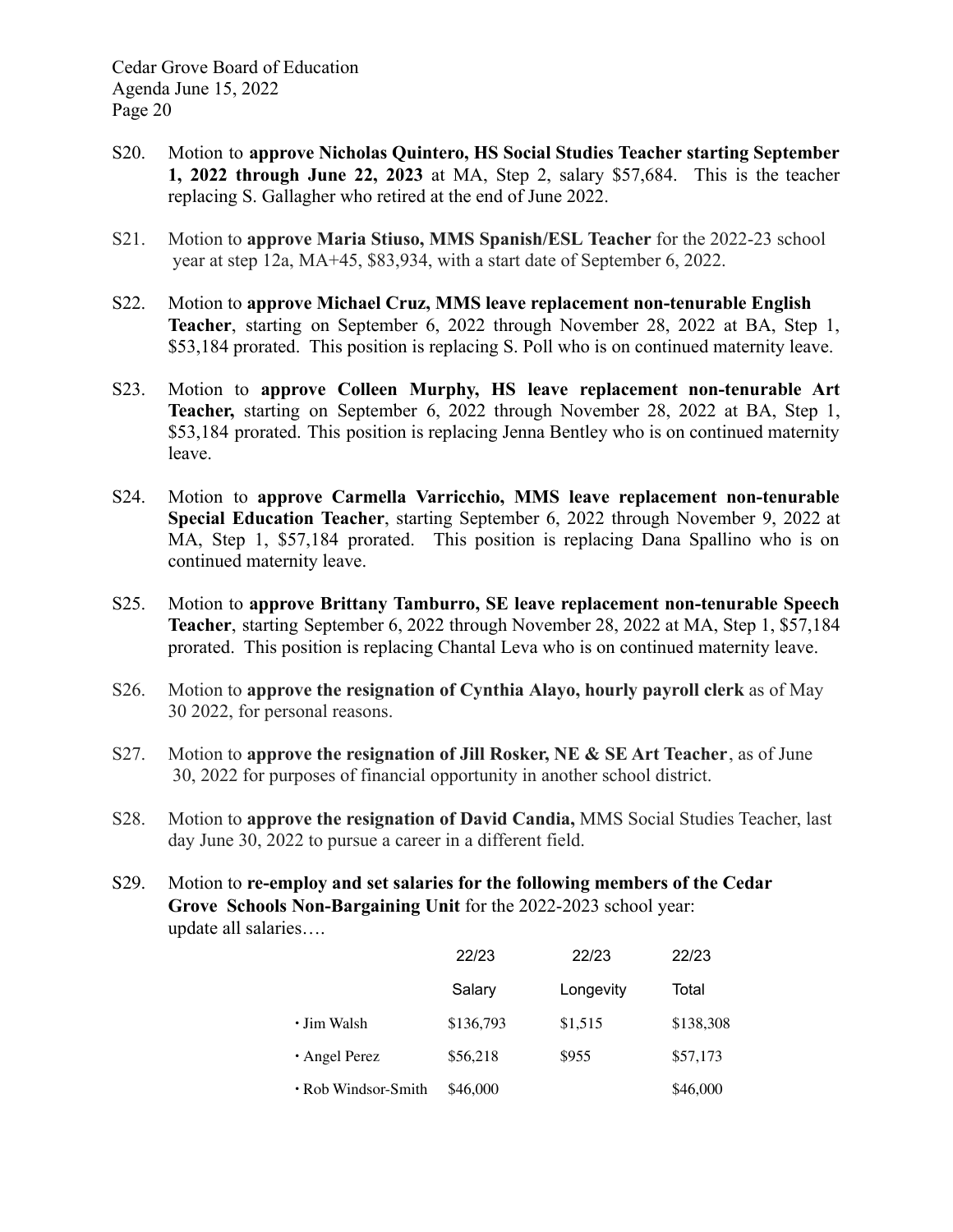- S20. Motion to **approve Nicholas Quintero, HS Social Studies Teacher starting September 1, 2022 through June 22, 2023** at MA, Step 2, salary \$57,684. This is the teacher replacing S. Gallagher who retired at the end of June 2022.
- S21. Motion to **approve Maria Stiuso, MMS Spanish/ESL Teacher** for the 2022-23 school year at step 12a, MA+45, \$83,934, with a start date of September 6, 2022.
- S22. Motion to **approve Michael Cruz, MMS leave replacement non-tenurable English Teacher**, starting on September 6, 2022 through November 28, 2022 at BA, Step 1, \$53,184 prorated. This position is replacing S. Poll who is on continued maternity leave.
- S23. Motion to **approve Colleen Murphy, HS leave replacement non-tenurable Art Teacher,** starting on September 6, 2022 through November 28, 2022 at BA, Step 1, \$53,184 prorated. This position is replacing Jenna Bentley who is on continued maternity leave.
- S24. Motion to **approve Carmella Varricchio, MMS leave replacement non-tenurable Special Education Teacher**, starting September 6, 2022 through November 9, 2022 at MA, Step 1, \$57,184 prorated. This position is replacing Dana Spallino who is on continued maternity leave.
- S25. Motion to **approve Brittany Tamburro, SE leave replacement non-tenurable Speech Teacher**, starting September 6, 2022 through November 28, 2022 at MA, Step 1, \$57,184 prorated. This position is replacing Chantal Leva who is on continued maternity leave.
- S26. Motion to **approve the resignation of Cynthia Alayo, hourly payroll clerk** as of May 30 2022, for personal reasons.
- S27. Motion to **approve the resignation of Jill Rosker, NE & SE Art Teacher**, as of June 30, 2022 for purposes of financial opportunity in another school district.
- S28. Motion to **approve the resignation of David Candia,** MMS Social Studies Teacher, last day June 30, 2022 to pursue a career in a different field.
- S29. Motion to **re-employ and set salaries for the following members of the Cedar Grove Schools Non-Bargaining Unit** for the 2022-2023 school year: update all salaries….

|                     | 22/23     | 22/23     | 22/23     |
|---------------------|-----------|-----------|-----------|
|                     | Salary    | Longevity | Total     |
| • Jim Walsh         | \$136,793 | \$1,515   | \$138,308 |
| • Angel Perez       | \$56,218  | \$955     | \$57,173  |
| • Rob Windsor-Smith | \$46,000  |           | \$46,000  |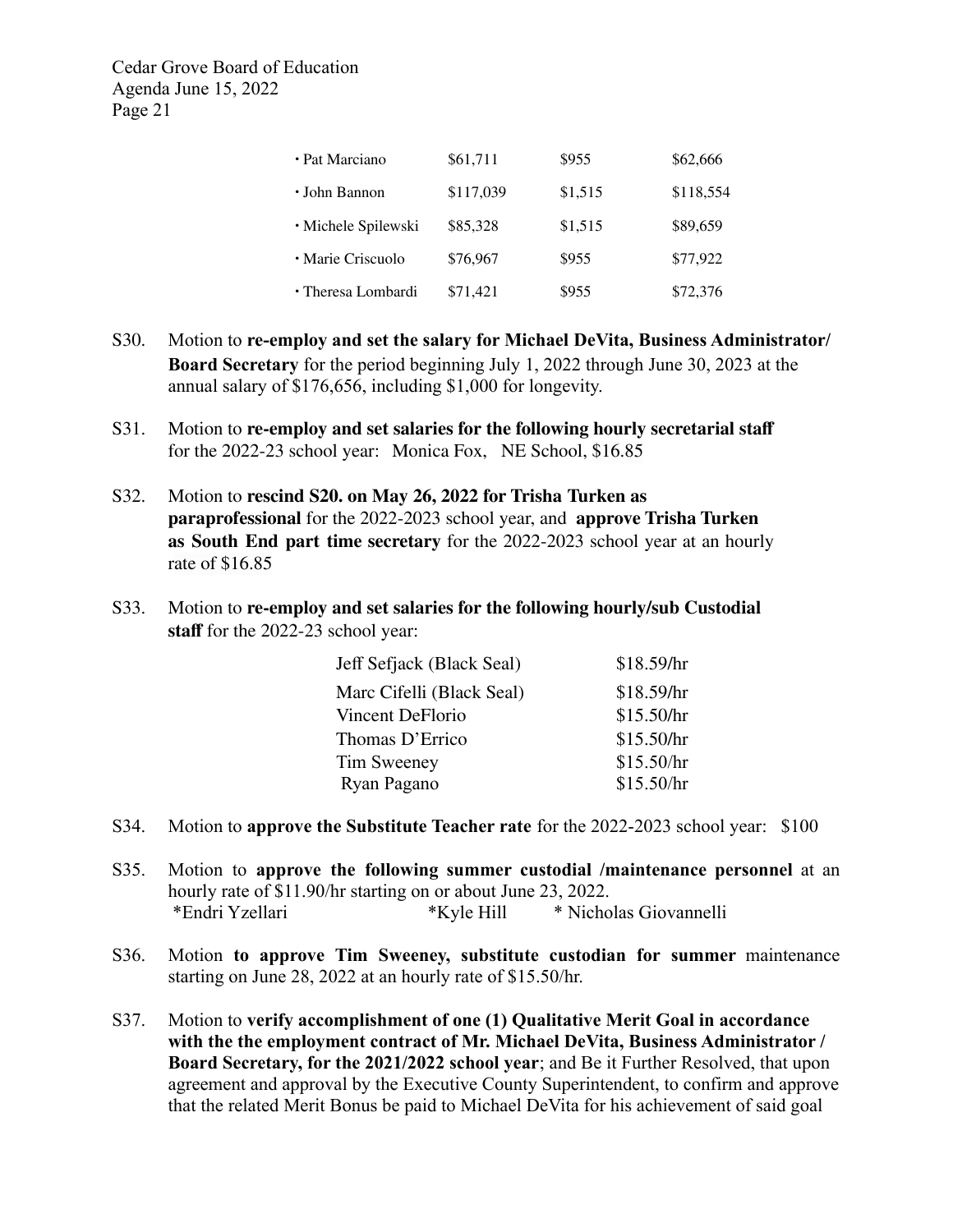| · Pat Marciano      | \$61,711  | \$955   | \$62,666  |
|---------------------|-----------|---------|-----------|
| • John Bannon       | \$117,039 | \$1,515 | \$118,554 |
| · Michele Spilewski | \$85,328  | \$1,515 | \$89,659  |
| • Marie Criscuolo   | \$76,967  | \$955   | \$77,922  |
| · Theresa Lombardi  | \$71,421  | \$955   | \$72,376  |

- S30. Motion to **re-employ and set the salary for Michael DeVita, Business Administrator/ Board Secretary** for the period beginning July 1, 2022 through June 30, 2023 at the annual salary of \$176,656, including \$1,000 for longevity.
- S31. Motion to **re-employ and set salaries for the following hourly secretarial staff** for the 2022-23 school year: Monica Fox, NE School, \$16.85
- S32. Motion to **rescind S20. on May 26, 2022 for Trisha Turken as paraprofessional** for the 2022-2023 school year, and **approve Trisha Turken as South End part time secretary** for the 2022-2023 school year at an hourly rate of \$16.85
- S33. Motion to **re-employ and set salaries for the following hourly/sub Custodial staff** for the 2022-23 school year:

| Jeff Sefjack (Black Seal) | \$18.59/hr |
|---------------------------|------------|
| Marc Cifelli (Black Seal) | \$18.59/hr |
| Vincent DeFlorio          | \$15.50/hr |
| Thomas D'Errico           | \$15.50/hr |
| Tim Sweeney               | \$15.50/hr |
| Ryan Pagano               | \$15.50/hr |

- S34. Motion to **approve the Substitute Teacher rate** for the 2022-2023 school year: \$100
- S35. Motion to **approve the following summer custodial /maintenance personnel** at an hourly rate of \$11.90/hr starting on or about June 23, 2022. \*Endri Yzellari \*Kyle Hill \* Nicholas Giovannelli
- S36. Motion **to approve Tim Sweeney, substitute custodian for summer** maintenance starting on June 28, 2022 at an hourly rate of \$15.50/hr.
- S37. Motion to **verify accomplishment of one (1) Qualitative Merit Goal in accordance with the the employment contract of Mr. Michael DeVita, Business Administrator / Board Secretary, for the 2021/2022 school year**; and Be it Further Resolved, that upon agreement and approval by the Executive County Superintendent, to confirm and approve that the related Merit Bonus be paid to Michael DeVita for his achievement of said goal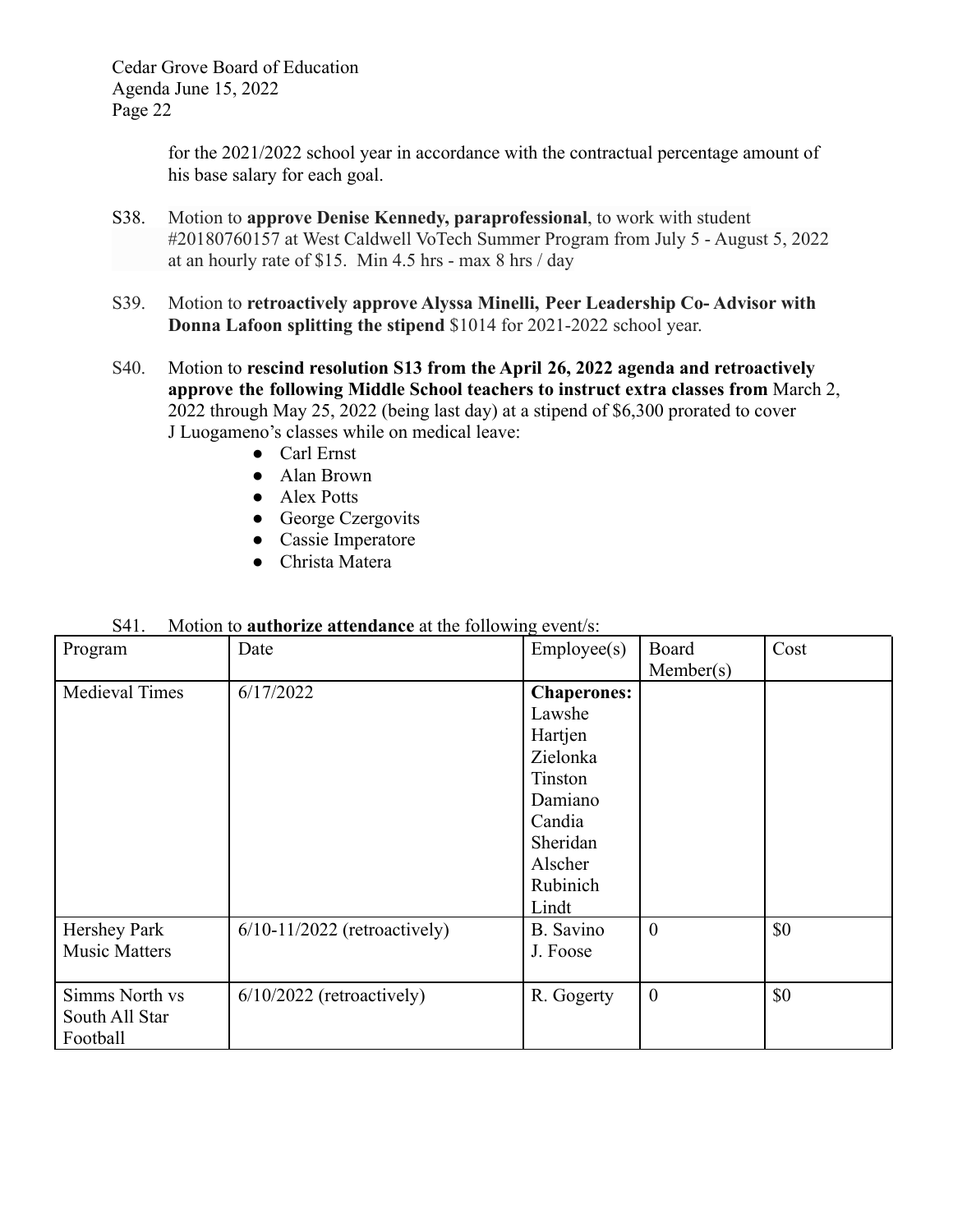> for the 2021/2022 school year in accordance with the contractual percentage amount of his base salary for each goal.

- S38. Motion to **approve Denise Kennedy, paraprofessional**, to work with student #20180760157 at West Caldwell VoTech Summer Program from July 5 - August 5, 2022 at an hourly rate of \$15. Min 4.5 hrs - max 8 hrs / day
- S39. Motion to **retroactively approve Alyssa Minelli, Peer Leadership Co- Advisor with Donna Lafoon splitting the stipend** \$1014 for 2021-2022 school year.
- S40. Motion to **rescind resolution S13 from the April 26, 2022 agenda and retroactively approve the following Middle School teachers to instruct extra classes from** March 2, 2022 through May 25, 2022 (being last day) at a stipend of \$6,300 prorated to cover J Luogameno's classes while on medical leave:
	- Carl Ernst
	- Alan Brown
	- Alex Potts
	- George Czergovits
	- Cassie Imperatore
	- Christa Matera

| .                     | wouvil to <b>authorize attenuance</b> at the following event s. |                    |                  |      |
|-----------------------|-----------------------------------------------------------------|--------------------|------------------|------|
| Program               | Date                                                            | Employee(s)        | Board            | Cost |
|                       |                                                                 |                    | Member(s)        |      |
| <b>Medieval Times</b> | 6/17/2022                                                       | <b>Chaperones:</b> |                  |      |
|                       |                                                                 | Lawshe             |                  |      |
|                       |                                                                 | Hartjen            |                  |      |
|                       |                                                                 | Zielonka           |                  |      |
|                       |                                                                 | Tinston            |                  |      |
|                       |                                                                 | Damiano            |                  |      |
|                       |                                                                 | Candia             |                  |      |
|                       |                                                                 | Sheridan           |                  |      |
|                       |                                                                 | Alscher            |                  |      |
|                       |                                                                 | Rubinich           |                  |      |
|                       |                                                                 | Lindt              |                  |      |
| Hershey Park          | $6/10-11/2022$ (retroactively)                                  | B. Savino          | $\theta$         | \$0  |
| <b>Music Matters</b>  |                                                                 | J. Foose           |                  |      |
|                       |                                                                 |                    |                  |      |
| Simms North vs        | $6/10/2022$ (retroactively)                                     | R. Gogerty         | $\boldsymbol{0}$ | \$0  |
| South All Star        |                                                                 |                    |                  |      |
| Football              |                                                                 |                    |                  |      |

| S41. | Motion to <b>authorize attendance</b> at the following event/s: |  |
|------|-----------------------------------------------------------------|--|
|------|-----------------------------------------------------------------|--|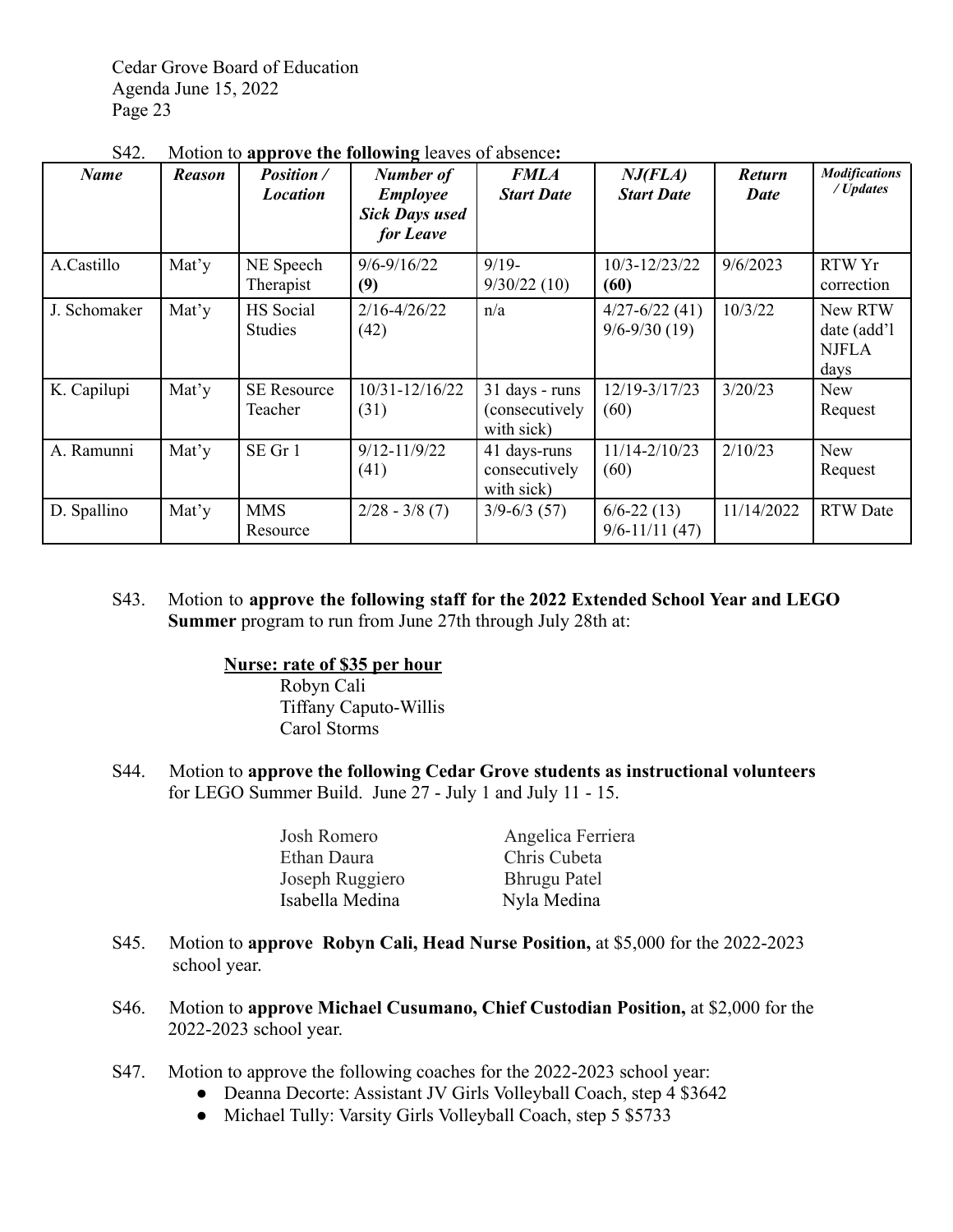| <b>Name</b>  | Reason | <i>Position</i> /<br><i>Location</i> | Number of<br><b>Employee</b><br><b>Sick Days used</b><br>for Leave | <b>FMLA</b><br><b>Start Date</b>               | NJ(FLA)<br><b>Start Date</b>          | <b>Return</b><br><b>Date</b> | <b>Modifications</b><br>/ Updates              |
|--------------|--------|--------------------------------------|--------------------------------------------------------------------|------------------------------------------------|---------------------------------------|------------------------------|------------------------------------------------|
| A.Castillo   | Mat'y  | NE Speech<br>Therapist               | $9/6 - 9/16/22$<br>(9)                                             | $9/19-$<br>9/30/22(10)                         | 10/3-12/23/22<br>(60)                 | 9/6/2023                     | RTW Yr<br>correction                           |
| J. Schomaker | Mat'y  | HS Social<br><b>Studies</b>          | $2/16 - 4/26/22$<br>(42)                                           | n/a                                            | $4/27 - 6/22(41)$<br>$9/6 - 9/30(19)$ | 10/3/22                      | New RTW<br>date (add'l<br><b>NJFLA</b><br>days |
| K. Capilupi  | Mat'y  | <b>SE Resource</b><br>Teacher        | $10/31 - 12/16/22$<br>(31)                                         | 31 days - runs<br>(consecutively<br>with sick) | 12/19-3/17/23<br>(60)                 | 3/20/23                      | <b>New</b><br>Request                          |
| A. Ramunni   | Mat'y  | SE Gr 1                              | $9/12 - 11/9/22$<br>(41)                                           | 41 days-runs<br>consecutively<br>with sick)    | $11/14 - 2/10/23$<br>(60)             | 2/10/23                      | <b>New</b><br>Request                          |
| D. Spallino  | Mat'y  | <b>MMS</b><br>Resource               | $2/28 - 3/8(7)$                                                    | $3/9 - 6/3$ (57)                               | $6/6 - 22(13)$<br>$9/6 - 11/11(47)$   | 11/14/2022                   | <b>RTW</b> Date                                |

S42. Motion to **approve the following** leaves of absence**:**

S43. Motion to **approve the following staff for the 2022 Extended School Year and LEGO Summer** program to run from June 27th through July 28th at:

## **Nurse: rate of \$35 per hour**

Robyn Cali Tiffany Caputo-Willis Carol Storms

S44. Motion to **approve the following Cedar Grove students as instructional volunteers** for LEGO Summer Build. June 27 - July 1 and July 11 - 15.

| Josh Romero     | Angelica Ferriera   |
|-----------------|---------------------|
| Ethan Daura     | Chris Cubeta        |
| Joseph Ruggiero | <b>Bhrugu Patel</b> |
| Isabella Medina | Nyla Medina         |

- S45. Motion to **approve Robyn Cali, Head Nurse Position,** at \$5,000 for the 2022-2023 school year.
- S46. Motion to **approve Michael Cusumano, Chief Custodian Position,** at \$2,000 for the 2022-2023 school year.
- S47. Motion to approve the following coaches for the 2022-2023 school year:
	- Deanna Decorte: Assistant JV Girls Volleyball Coach, step 4 \$3642
	- Michael Tully: Varsity Girls Volleyball Coach, step 5 \$5733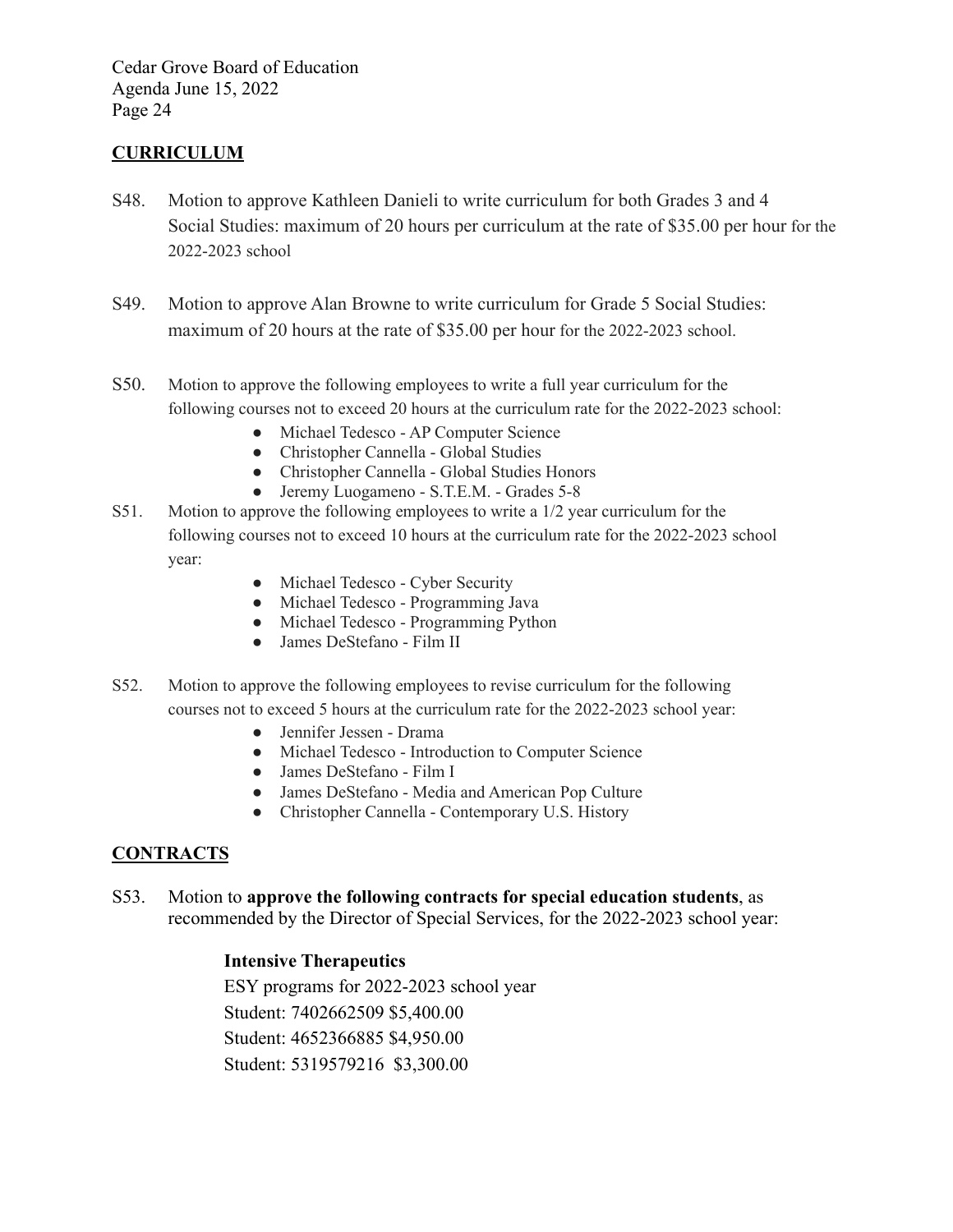# **CURRICULUM**

- S48. Motion to approve Kathleen Danieli to write curriculum for both Grades 3 and 4 Social Studies: maximum of 20 hours per curriculum at the rate of \$35.00 per hour for the 2022-2023 school
- S49. Motion to approve Alan Browne to write curriculum for Grade 5 Social Studies: maximum of 20 hours at the rate of \$35.00 per hour for the 2022-2023 school.
- S50. Motion to approve the following employees to write a full year curriculum for the following courses not to exceed 20 hours at the curriculum rate for the 2022-2023 school:
	- Michael Tedesco AP Computer Science
	- Christopher Cannella Global Studies
	- Christopher Cannella Global Studies Honors
	- Jeremy Luogameno S.T.E.M. Grades 5-8
- S51. Motion to approve the following employees to write a 1/2 year curriculum for the following courses not to exceed 10 hours at the curriculum rate for the 2022-2023 school year:
	- Michael Tedesco Cyber Security
	- Michael Tedesco Programming Java
	- Michael Tedesco Programming Python
	- James DeStefano Film II
- S52. Motion to approve the following employees to revise curriculum for the following courses not to exceed 5 hours at the curriculum rate for the 2022-2023 school year:
	- Jennifer Jessen Drama
	- Michael Tedesco Introduction to Computer Science
	- James DeStefano Film I
	- James DeStefano Media and American Pop Culture
	- Christopher Cannella Contemporary U.S. History

# **CONTRACTS**

S53. Motion to **approve the following contracts for special education students**, as recommended by the Director of Special Services, for the 2022-2023 school year:

## **Intensive Therapeutics**

ESY programs for 2022-2023 school year Student: 7402662509 \$5,400.00 Student: 4652366885 \$4,950.00 Student: 5319579216 \$3,300.00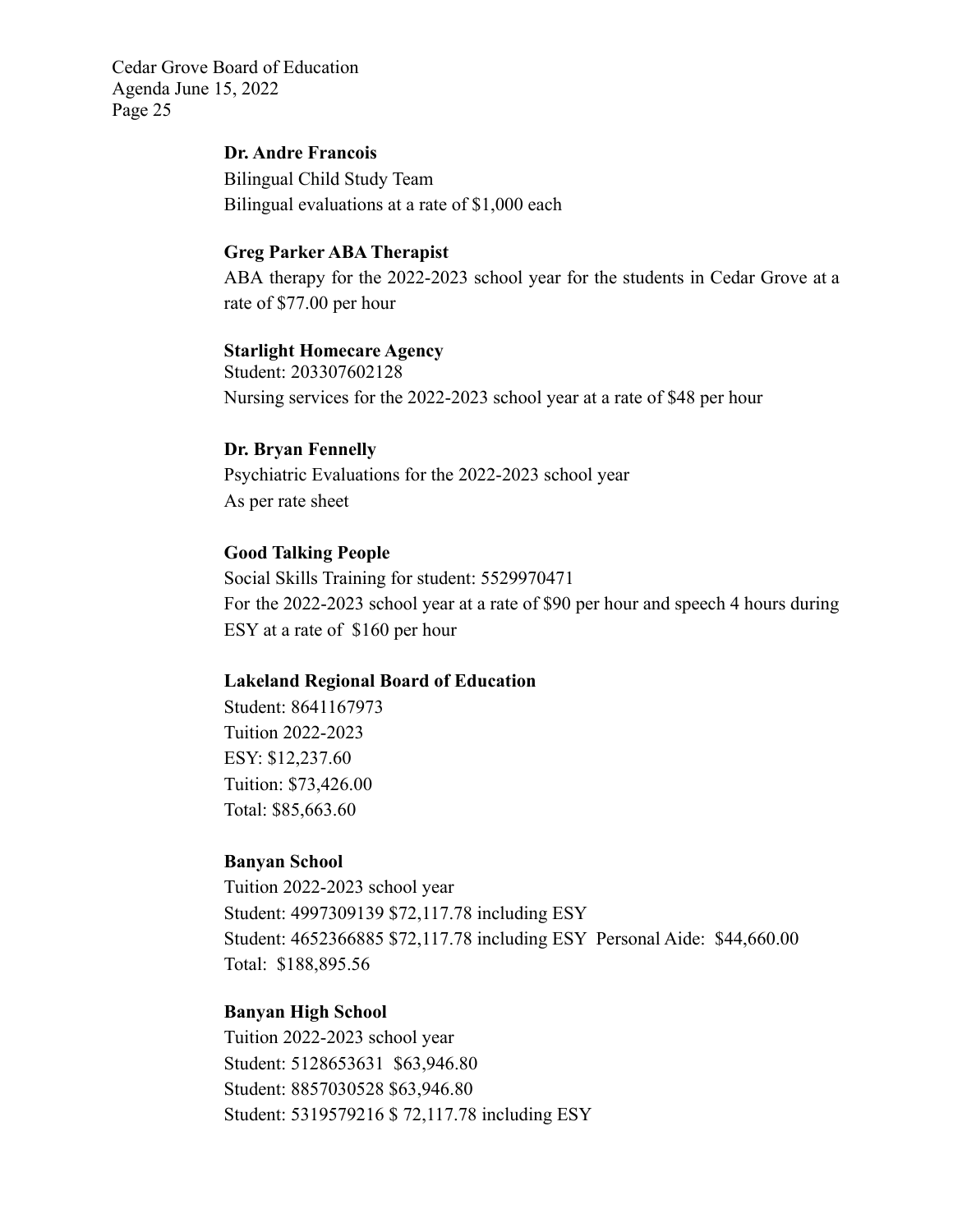# **Dr. Andre Francois**

Bilingual Child Study Team Bilingual evaluations at a rate of \$1,000 each

#### **Greg Parker ABA Therapist**

ABA therapy for the 2022-2023 school year for the students in Cedar Grove at a rate of \$77.00 per hour

#### **Starlight Homecare Agency**

Student: 203307602128 Nursing services for the 2022-2023 school year at a rate of \$48 per hour

#### **Dr. Bryan Fennelly**

Psychiatric Evaluations for the 2022-2023 school year As per rate sheet

### **Good Talking People**

Social Skills Training for student: 5529970471 For the 2022-2023 school year at a rate of \$90 per hour and speech 4 hours during ESY at a rate of \$160 per hour

#### **Lakeland Regional Board of Education**

Student: 8641167973 Tuition 2022-2023 ESY: \$12,237.60 Tuition: \$73,426.00 Total: \$85,663.60

#### **Banyan School**

Tuition 2022-2023 school year Student: 4997309139 \$72,117.78 including ESY Student: 4652366885 \$72,117.78 including ESY Personal Aide: \$44,660.00 Total: \$188,895.56

### **Banyan High School**

Tuition 2022-2023 school year Student: 5128653631 \$63,946.80 Student: 8857030528 \$63,946.80 Student: 5319579216 \$ 72,117.78 including ESY